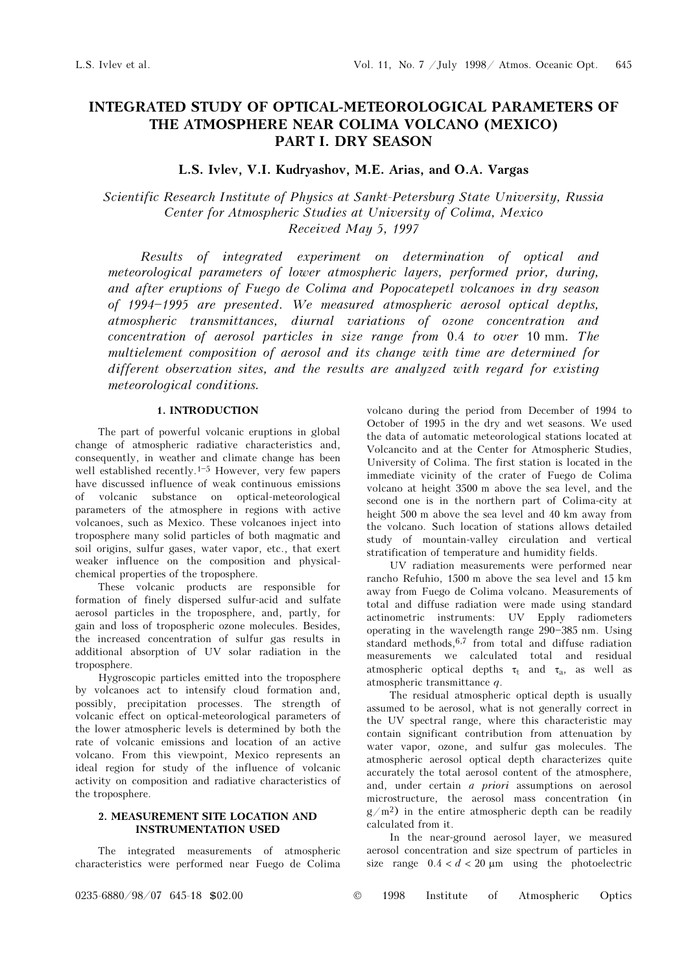# INTEGRATED STUDY OF OPTICAL-METEOROLOGICAL PARAMETERS OF THE ATMOSPHERE NEAR COLIMA VOLCANO (MEXICO) PART I. DRY SEASON

# L.S. Ivlev, V.I. Kudryashov, M.E. Arias, and O.A. Vargas

Scientific Research Institute of Physics at Sankt-Petersburg State University, Russia Center for Atmospheric Studies at University of Colima, Mexico Received May 5, 1997

Results of integrated experiment on determination of optical and meteorological parameters of lower atmospheric layers, performed prior, during, and after eruptions of Fuego de Colima and Popocatepetl volcanoes in dry season of 1994-1995 are presented. We measured atmospheric aerosol optical depths, atmospheric transmittances, diurnal variations of ozone concentration and concentration of aerosol particles in size range from 0.4 to over 10 mm. The multielement composition of aerosol and its change with time are determined for different observation sites, and the results are analyzed with regard for existing meteorological conditions.

# 1. INTRODUCTION

The part of powerful volcanic eruptions in global change of atmospheric radiative characteristics and, consequently, in weather and climate change has been well established recently.<sup>1-5</sup> However, very few papers have discussed influence of weak continuous emissions of volcanic substance on optical-meteorological parameters of the atmosphere in regions with active volcanoes, such as Mexico. These volcanoes inject into troposphere many solid particles of both magmatic and soil origins, sulfur gases, water vapor, etc., that exert weaker influence on the composition and physicalchemical properties of the troposphere.

These volcanic products are responsible for formation of finely dispersed sulfur-acid and sulfate aerosol particles in the troposphere, and, partly, for gain and loss of tropospheric ozone molecules. Besides, the increased concentration of sulfur gas results in additional absorption of UV solar radiation in the troposphere.

Hygroscopic particles emitted into the troposphere by volcanoes act to intensify cloud formation and, possibly, precipitation processes. The strength of volcanic effect on optical-meteorological parameters of the lower atmospheric levels is determined by both the rate of volcanic emissions and location of an active volcano. From this viewpoint, Mexico represents an ideal region for study of the influence of volcanic activity on composition and radiative characteristics of the troposphere.

# 2. MEASUREMENT SITE LOCATION AND INSTRUMENTATION USED

The integrated measurements of atmospheric characteristics were performed near Fuego de Colima volcano during the period from December of 1994 to October of 1995 in the dry and wet seasons. We used the data of automatic meteorological stations located at Volcancito and at the Center for Atmospheric Studies, University of Colima. The first station is located in the immediate vicinity of the crater of Fuego de Colima volcano at height 3500 m above the sea level, and the second one is in the northern part of Colima-city at height 500 m above the sea level and 40 km away from the volcano. Such location of stations allows detailed study of mountain-valley circulation and vertical stratification of temperature and humidity fields.

UV radiation measurements were performed near rancho Refuhio, 1500 m above the sea level and 15 km away from Fuego de Colima volcano. Measurements of total and diffuse radiation were made using standard actinometric instruments: UV Epply radiometers operating in the wavelength range 290-385 nm. Using standard methods,6,7 from total and diffuse radiation measurements we calculated total and residual atmospheric optical depths  $\tau_t$  and  $\tau_a$ , as well as atmospheric transmittance q.

The residual atmospheric optical depth is usually assumed to be aerosol, what is not generally correct in the UV spectral range, where this characteristic may contain significant contribution from attenuation by water vapor, ozone, and sulfur gas molecules. The atmospheric aerosol optical depth characterizes quite accurately the total aerosol content of the atmosphere, and, under certain a priori assumptions on aerosol microstructure, the aerosol mass concentration (in  $g/m^2$ ) in the entire atmospheric depth can be readily calculated from it.

In the near-ground aerosol layer, we measured aerosol concentration and size spectrum of particles in size range  $0.4 < d < 20 \text{ µm}$  using the photoelectric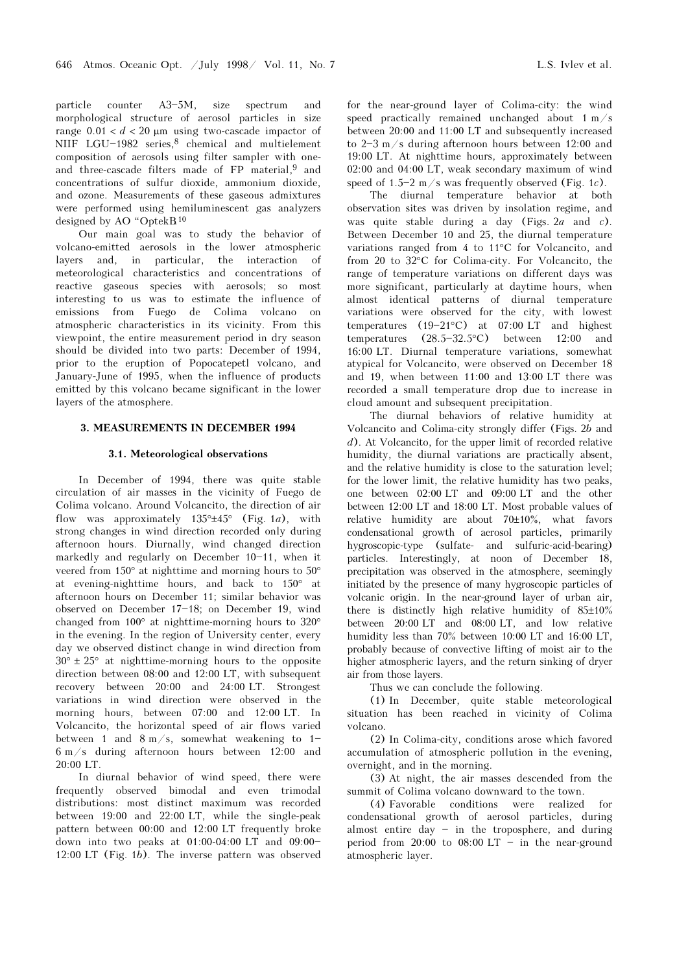particle counter A3-5M, size spectrum and morphological structure of aerosol particles in size range  $0.01 < d < 20$  µm using two-cascade impactor of NIIF LGU-1982 series, $8$  chemical and multielement composition of aerosols using filter sampler with oneand three-cascade filters made of FP material,<sup>9</sup> and concentrations of sulfur dioxide, ammonium dioxide, and ozone. Measurements of these gaseous admixtures were performed using hemiluminescent gas analyzers designed by AO "Optek $B^{10}$ 

Our main goal was to study the behavior of volcano-emitted aerosols in the lower atmospheric layers and, in particular, the interaction of meteorological characteristics and concentrations of reactive gaseous species with aerosols; so most interesting to us was to estimate the influence of emissions from Fuego de Colima volcano on atmospheric characteristics in its vicinity. From this viewpoint, the entire measurement period in dry season should be divided into two parts: December of 1994, prior to the eruption of Popocatepetl volcano, and January-June of 1995, when the influence of products emitted by this volcano became significant in the lower layers of the atmosphere.

### 3. MEASUREMENTS IN DECEMBER 1994

#### 3.1. Meteorological observations

In December of 1994, there was quite stable circulation of air masses in the vicinity of Fuego de Colima volcano. Around Volcancito, the direction of air flow was approximately  $135^\circ \pm 45^\circ$  (Fig. 1a), with strong changes in wind direction recorded only during afternoon hours. Diurnally, wind changed direction markedly and regularly on December  $10-11$ , when it veered from 150° at nighttime and morning hours to 50° at evening-nighttime hours, and back to 150° at afternoon hours on December 11; similar behavior was observed on December 17-18; on December 19, wind changed from 100° at nighttime-morning hours to 320° in the evening. In the region of University center, every day we observed distinct change in wind direction from  $30^{\circ} \pm 25^{\circ}$  at nighttime-morning hours to the opposite direction between 08:00 and 12:00 LT, with subsequent recovery between 20:00 and 24:00 LT. Strongest variations in wind direction were observed in the morning hours, between 07:00 and 12:00 LT. In Volcancito, the horizontal speed of air flows varied between 1 and  $8 \text{ m/s}$ , somewhat weakening to 1-6 m/s during afternoon hours between 12:00 and 20:00 LT.

In diurnal behavior of wind speed, there were frequently observed bimodal and even trimodal distributions: most distinct maximum was recorded between 19:00 and 22:00 LT, while the single-peak pattern between 00:00 and 12:00 LT frequently broke down into two peaks at  $01:00-04:00$  LT and  $09:00-$ 12:00 LT (Fig. 1b). The inverse pattern was observed

for the near-ground layer of Colima-city: the wind speed practically remained unchanged about 1 m/s between 20:00 and 11:00 LT and subsequently increased to  $2-3$  m/s during afternoon hours between 12:00 and 19:00 LT. At nighttime hours, approximately between 02:00 and 04:00 LT, weak secondary maximum of wind speed of  $1.5-2$  m/s was frequently observed (Fig. 1c).

The diurnal temperature behavior at both observation sites was driven by insolation regime, and was quite stable during a day (Figs.  $2a$  and c). Between December 10 and 25, the diurnal temperature variations ranged from 4 to 11°C for Volcancito, and from 20 to 32°C for Colima-city. For Volcancito, the range of temperature variations on different days was more significant, particularly at daytime hours, when almost identical patterns of diurnal temperature variations were observed for the city, with lowest temperatures  $(19-21°C)$  at 07:00 LT and highest temperatures  $(28.5-32.5°C)$  between 12:00 and 16:00 LT. Diurnal temperature variations, somewhat atypical for Volcancito, were observed on December 18 and 19, when between 11:00 and 13:00 LT there was recorded a small temperature drop due to increase in cloud amount and subsequent precipitation.

The diurnal behaviors of relative humidity at Volcancito and Colima-city strongly differ (Figs. 2b and d). At Volcancito, for the upper limit of recorded relative humidity, the diurnal variations are practically absent, and the relative humidity is close to the saturation level; for the lower limit, the relative humidity has two peaks, one between 02:00 LT and 09:00 LT and the other between 12:00 LT and 18:00 LT. Most probable values of relative humidity are about 70±10%, what favors condensational growth of aerosol particles, primarily hygroscopic-type (sulfate- and sulfuric-acid-bearing) particles. Interestingly, at noon of December 18, precipitation was observed in the atmosphere, seemingly initiated by the presence of many hygroscopic particles of volcanic origin. In the near-ground layer of urban air, there is distinctly high relative humidity of 85±10% between 20:00 LT and 08:00 LT, and low relative humidity less than 70% between 10:00 LT and 16:00 LT, probably because of convective lifting of moist air to the higher atmospheric layers, and the return sinking of dryer air from those layers.

Thus we can conclude the following.

(1) In December, quite stable meteorological situation has been reached in vicinity of Colima volcano.

(2) In Colima-city, conditions arose which favored accumulation of atmospheric pollution in the evening, overnight, and in the morning.

(3) At night, the air masses descended from the summit of Colima volcano downward to the town.

(4) Favorable conditions were realized for condensational growth of aerosol particles, during almost entire day  $-$  in the troposphere, and during period from  $20:00$  to  $08:00$  LT - in the near-ground atmospheric layer.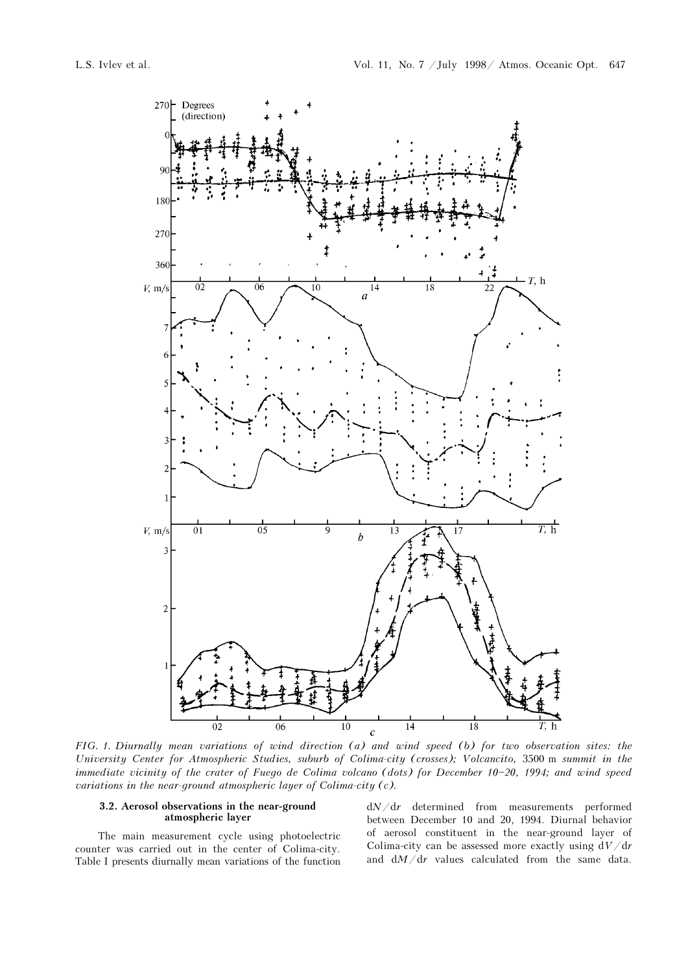

FIG. 1. Diurnally mean variations of wind direction (a) and wind speed (b) for two observation sites: the University Center for Atmospheric Studies, suburb of Colima-city (crosses); Volcancito, 3500 m summit in the immediate vicinity of the crater of Fuego de Colima volcano (dots) for December  $10-20$ , 1994; and wind speed variations in the near-ground atmospheric layer of Colima-city (c).

#### 3.2. Aerosol observations in the near-ground atmospheric layer

The main measurement cycle using photoelectric counter was carried out in the center of Colima-city. Table I presents diurnally mean variations of the function  $dN/dr$  determined from measurements performed between December 10 and 20, 1994. Diurnal behavior of aerosol constituent in the near-ground layer of Colima-city can be assessed more exactly using  $dV/dr$ and  $dM/dr$  values calculated from the same data.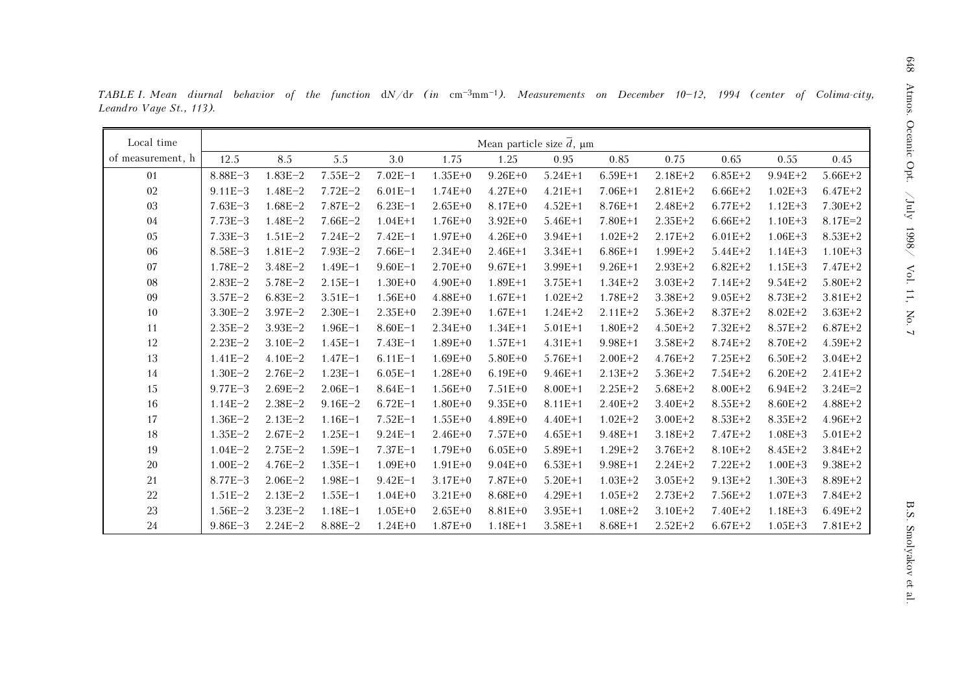| Local time        |             |             |             |             |             | Mean particle size $\overline{d}$ , $\mu$ m |             |             |             |             |             |             |
|-------------------|-------------|-------------|-------------|-------------|-------------|---------------------------------------------|-------------|-------------|-------------|-------------|-------------|-------------|
| of measurement, h | 12.5        | 8.5         | 5.5         | 3.0         | 1.75        | 1.25                                        | 0.95        | 0.85        | 0.75        | 0.65        | 0.55        | 0.45        |
| 01                | $8.88E - 3$ | $1.83E - 2$ | $7.55E - 2$ | $7.02E - 1$ | $1.35E + 0$ | $9.26E + 0$                                 | $5.24E + 1$ | $6.59E+1$   | $2.18E + 2$ | $6.85E + 2$ | $9.94E + 2$ | $5.66E + 2$ |
| 02                | $9.11E - 3$ | $1.48E - 2$ | $7.72E - 2$ | $6.01E-1$   | $1.74E + 0$ | $4.27E + 0$                                 | $4.21E+1$   | $7.06E+1$   | $2.81E + 2$ | $6.66E+2$   | $1.02E + 3$ | $6.47E + 2$ |
| 03                | $7.63E - 3$ | $1.68E - 2$ | $7.87E - 2$ | $6.23E - 1$ | $2.65E+0$   | $8.17E + 0$                                 | $4.52E+1$   | $8.76E+1$   | $2.48E + 2$ | $6.77E + 2$ | $1.12E + 3$ | $7.30E + 2$ |
| 04                | $7.73E - 3$ | $1.48E - 2$ | $7.66E - 2$ | $1.04E + 1$ | $1.76E + 0$ | $3.92E + 0$                                 | $5.46E + 1$ | $7.80E + 1$ | $2.35E + 2$ | $6.66E + 2$ | $1.10E + 3$ | $8.17E = 2$ |
| 05                | $7.33E - 3$ | $1.51E-2$   | $7.24E - 2$ | $7.42E - 1$ | $1.97E + 0$ | $4.26E + 0$                                 | $3.94E+1$   | $1.02E + 2$ | $2.17E + 2$ | $6.01E + 2$ | $1.06E + 3$ | $8.53E + 2$ |
| 06                | $8.58E - 3$ | $1.81E - 2$ | $7.93E - 2$ | $7.66E-1$   | $2.34E + 0$ | $2.46E+1$                                   | $3.34E + 1$ | $6.86E+1$   | $1.99E + 2$ | $5.44E + 2$ | $1.14E + 3$ | $1.10E + 3$ |
| 07                | $1.78E - 2$ | $3.48E - 2$ | $1.49E - 1$ | $9.60E - 1$ | $2.70E + 0$ | $9.67E + 1$                                 | $3.99E+1$   | $9.26E + 1$ | $2.93E + 2$ | $6.82E + 2$ | $1.15E + 3$ | $7.47E + 2$ |
| 08                | $2.83E-2$   | $5.78E - 2$ | $2.15E-1$   | $1.30E + 0$ | $4.90E + 0$ | $1.89E+1$                                   | $3.75E+1$   | $1.34E + 2$ | $3.03E + 2$ | $7.14E + 2$ | $9.54E + 2$ | $5.80E + 2$ |
| 09                | $3.57E - 2$ | $6.83E - 2$ | $3.51E - 1$ | $1.56E + 0$ | $4.88E + 0$ | $1.67E + 1$                                 | $1.02E + 2$ | $1.78E + 2$ | $3.38E + 2$ | $9.05E + 2$ | 8.73E+2     | $3.81E + 2$ |
| 10                | $3.30E - 2$ | $3.97E - 2$ | $2.30E - 1$ | $2.35E + 0$ | $2.39E + 0$ | $1.67E + 1$                                 | $1.24E + 2$ | $2.11E + 2$ | $5.36E + 2$ | $8.37E + 2$ | $8.02E + 2$ | $3.63E + 2$ |
| 11                | $2.35E-2$   | $3.93E - 2$ | $1.96E - 1$ | $8.60E - 1$ | $2.34E + 0$ | $1.34E + 1$                                 | $5.01E+1$   | $1.80E + 2$ | $4.50E + 2$ | $7.32E + 2$ | $8.57E + 2$ | $6.87E+2$   |
| 12                | $2.23E - 2$ | $3.10E - 2$ | $1.45E - 1$ | $7.43E - 1$ | $1.89E + 0$ | $1.57E + 1$                                 | $4.31E+1$   | $9.98E + 1$ | $3.58E + 2$ | $8.74E + 2$ | 8.70E+2     | $4.59E + 2$ |
| 13                | $1.41E-2$   | $4.10E - 2$ | $1.47E - 1$ | $6.11E-1$   | $1.69E + 0$ | $5.80E + 0$                                 | $5.76E+1$   | $2.00E + 2$ | $4.76E + 2$ | $7.25E + 2$ | $6.50E+2$   | $3.04E + 2$ |
| 14                | $1.30E - 2$ | $2.76E - 2$ | $1.23E-1$   | $6.05E - 1$ | $1.28E + 0$ | $6.19E + 0$                                 | $9.46E+1$   | $2.13E + 2$ | $5.36E + 2$ | $7.54E + 2$ | $6.20E + 2$ | $2.41E + 2$ |
| 15                | $9.77E - 3$ | $2.69E - 2$ | $2.06E - 1$ | $8.64E - 1$ | $1.56E + 0$ | $7.51E + 0$                                 | $8.00E+1$   | $2.25E + 2$ | $5.68E + 2$ | $8.00E + 2$ | $6.94E + 2$ | $3.24E = 2$ |
| 16                | $1.14E - 2$ | $2.38E - 2$ | $9.16E - 2$ | $6.72E - 1$ | $1.80E + 0$ | $9.35E + 0$                                 | $8.11E+1$   | $2.40E + 2$ | $3.40E + 2$ | $8.55E + 2$ | $8.60E + 2$ | $4.88E + 2$ |
| 17                | $1.36E - 2$ | $2.13E - 2$ | $1.16E - 1$ | $7.52E - 1$ | $1.55E + 0$ | $4.89E + 0$                                 | $4.40E+1$   | $1.02E + 2$ | $3.00E + 2$ | $8.53E + 2$ | $8.35E + 2$ | $4.96E + 2$ |
| 18                | $1.35E-2$   | $2.67E - 2$ | $1.25E - 1$ | $9.24E - 1$ | $2.46E + 0$ | $7.57E + 0$                                 | $4.65E+1$   | $9.48E + 1$ | $3.18E + 2$ | $7.47E + 2$ | $1.08E + 3$ | $5.01E + 2$ |
| 19                | $1.04E - 2$ | $2.75E - 2$ | $1.59E - 1$ | $7.37E - 1$ | $1.79E + 0$ | $6.05E + 0$                                 | $5.89E+1$   | $1.29E + 2$ | $3.76E + 2$ | 8.10E+2     | $8.45E + 2$ | $3.84E + 2$ |
| $20\,$            | $1.00E - 2$ | $4.76E - 2$ | $1.35E - 1$ | $1.09E + 0$ | $1.91E + 0$ | $9.04E + 0$                                 | $6.53E+1$   | $9.98E + 1$ | $2.24E + 2$ | $7.22E + 2$ | $1.00E + 3$ | $9.38E + 2$ |
| 21                | $8.77E - 3$ | $2.06E - 2$ | $1.98E - 1$ | $9.42E - 1$ | $3.17E + 0$ | 7.87E+0                                     | $5.20E+1$   | $1.03E + 2$ | $3.05E + 2$ | $9.13E + 2$ | $1.30E + 3$ | 8.89E+2     |
| 22                | $1.51E - 2$ | $2.13E - 2$ | $1.55E - 1$ | $1.04E + 0$ | $3.21E + 0$ | $8.68E + 0$                                 | $4.29E+1$   | $1.05E + 2$ | $2.73E + 2$ | $7.56E + 2$ | $1.07E + 3$ | 7.84E+2     |
| 23                | $1.56E-2$   | $3.23E - 2$ | $1.18E - 1$ | $1.05E + 0$ | $2.65E+0$   | $8.81E + 0$                                 | $3.95E+1$   | $1.08E + 2$ | $3.10E + 2$ | 7.40E+2     | $1.18E + 3$ | $6.49E+2$   |
| 24                | $9.86E - 3$ | $2.24E - 2$ | $8.88E - 2$ | $1.24E + 0$ | $1.87E + 0$ | $1.18E+1$                                   | $3.58E+1$   | $8.68E+1$   | $2.52E + 2$ | $6.67E+2$   | $1.05E + 3$ | $7.81E + 2$ |

TABLE I. Mean diurnal behavior of the function  $dN/dr$  (in  $cm^{-3}mm^{-1}$ ). Measurements on December 10-12, 1994 (center of Colima-city, Leandro Vaye St., 113).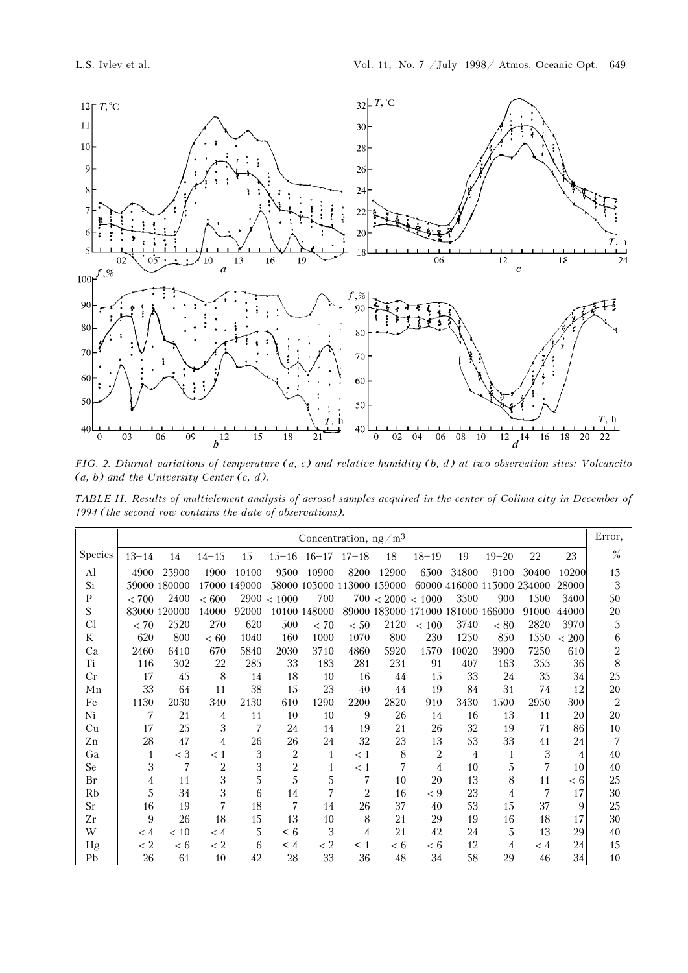

FIG. 2. Diurnal variations of temperature (a, c) and relative humidity (b, d) at two observation sites: Volcancito  $(a, b)$  and the University Center  $(c, d)$ .

TABLE II. Results of multielement analysis of aerosol samples acquired in the center of Colima-city in December of 1994 (the second row contains the date of observations).

|                |                |              |                |              |                | Concentration, $ng/m3$     |                |                                   |                |       |                            |       |                | Error,         |
|----------------|----------------|--------------|----------------|--------------|----------------|----------------------------|----------------|-----------------------------------|----------------|-------|----------------------------|-------|----------------|----------------|
| <b>Species</b> | $13 - 14$      | 14           | $14 - 15$      | 15           |                | $15-16$ $16-17$ $17-18$    |                | 18                                | $18 - 19$      | 19    | $19 - 20$                  | 22    | 23             | $\frac{9}{6}$  |
| Al             | 4900           | 25900        | 1900           | 10100        | 9500           | 10900                      | 8200           | 12900                             | 6500           | 34800 | 9100                       | 30400 | 10200          | 15             |
| Si             |                | 59000 180000 |                | 17000 149000 |                | 58000 105000 113000 159000 |                |                                   |                |       | 60000 416000 115000 234000 |       | 28000          | 3              |
| P              | < 700          | 2400         | <600           |              | 2900 < 1000    | 700                        |                | 700 < 2000 < 1000                 |                | 3500  | 900                        | 1500  | 3400           | 50             |
| S              |                | 83000 120000 | 14000          | 92000        |                | 10100 148000               |                | 89000 183000 171000 181000 166000 |                |       |                            | 91000 | 44000          | 20             |
| Cl             | < 70           | 2520         | 270            | 620          | 500            | < 70                       | < 50           | 2120                              | ${}< 100$      | 3740  | < 80                       | 2820  | 3970           | 5              |
| K              | 620            | 800          | <60            | 1040         | 160            | 1000                       | 1070           | 800                               | 230            | 1250  | 850                        | 1550  | 200<br>$\,<\,$ | 6              |
| Ca             | 2460           | 6410         | 670            | 5840         | 2030           | 3710                       | 4860           | 5920                              | 1570           | 10020 | 3900                       | 7250  | 610            | $\overline{2}$ |
| Ti             | 116            | 302          | 22             | 285          | 33             | 183                        | 281            | 231                               | 91             | 407   | 163                        | 355   | 36             | 8              |
| Cr             | 17             | 45           | 8              | 14           | 18             | 10                         | 16             | 44                                | 15             | 33    | 24                         | 35    | 34             | 25             |
| Mn             | 33             | 64           | 11             | 38           | 15             | 23                         | 40             | 44                                | 19             | 84    | 31                         | 74    | 12             | 20             |
| Fe             | 1130           | 2030         | 340            | 2130         | 610            | 1290                       | 2200           | 2820                              | 910            | 3430  | 1500                       | 2950  | 300            | $\overline{2}$ |
| Ni             | 7              | 21           | 4              | 11           | 10             | 10                         | 9              | 26                                | 14             | 16    | 13                         | 11    | 20             | 20             |
| Cu             | 17             | 25           | 3              | 7            | 24             | 14                         | 19             | 21                                | 26             | 32    | 19                         | 71    | 86             | 10             |
| Zn             | 28             | 47           | 4              | 26           | 26             | 24                         | 32             | 23                                | 13             | 53    | 33                         | 41    | 24             | 7              |
| Ga             | $\mathbf{1}$   | $<$ 3        | < 1            | 3            | $\overline{2}$ | $\mathbf{1}$               | < 1            | 8                                 | $\overline{2}$ | 4     | 1                          | 3     | 4              | 40             |
| Se             | 3              | 7            | $\overline{2}$ | 3            | $\overline{c}$ | $\mathbf{1}$               | < 1            | 7                                 | 4              | 10    | 5                          | 7     | 10             | 40             |
| Br             | $\overline{4}$ | 11           | 3              | 5            | 5              | 5                          | 7              | 10                                | 20             | 13    | 8                          | 11    | < 6            | 25             |
| Rb             | 5              | 34           | 3              | 6            | 14             | $\overline{7}$             | $\overline{2}$ | 16                                | $\lt 9$        | 23    | 4                          | 7     | 17             | 30             |
| <b>Sr</b>      | 16             | 19           | 7              | 18           | 7              | 14                         | 26             | 37                                | 40             | 53    | 15                         | 37    | 9              | 25             |
| Zr             | 9              | 26           | 18             | 15           | 13             | 10                         | 8              | 21                                | 29             | 19    | 16                         | 18    | 17             | 30             |
| W              | $\lt 4$        | < 10         | < 4            | 5            | $\leq 6$       | 3                          | 4              | 21                                | 42             | 24    | 5                          | 13    | 29             | 40             |
| Hg             | < 2            | < 6          | < 2            | 6            | $\leq 4$       | < 2                        | $\leq 1$       | < 6                               | < 6            | 12    | 4                          | < 4   | 24             | 15             |
| Pb             | 26             | 61           | 10             | 42           | 28             | 33                         | 36             | 48                                | 34             | 58    | 29                         | 46    | 34             | 10             |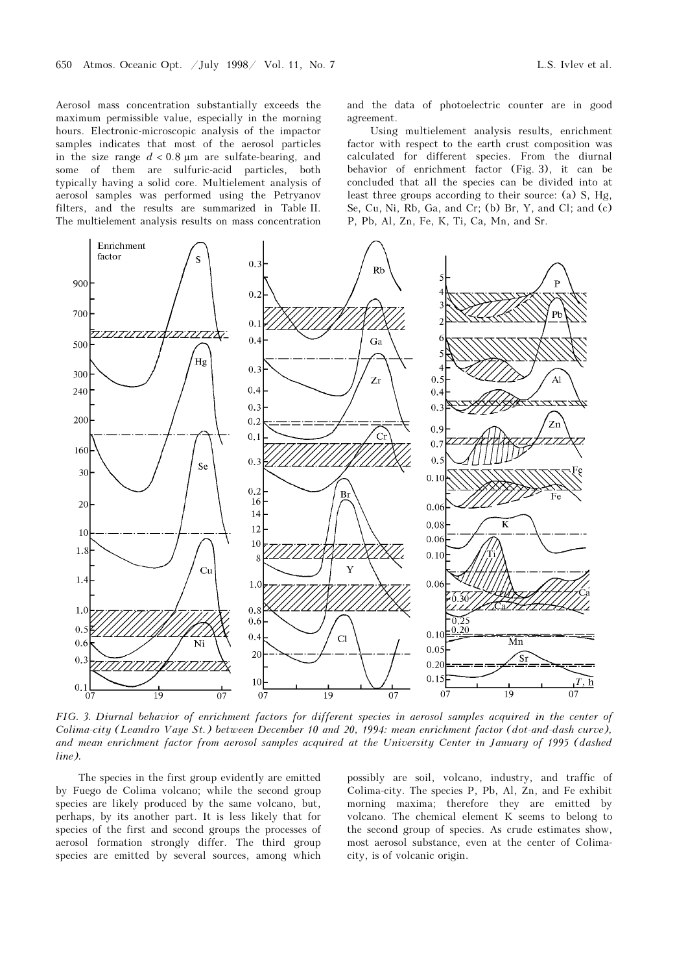Aerosol mass concentration substantially exceeds the maximum permissible value, especially in the morning hours. Electronic-microscopic analysis of the impactor samples indicates that most of the aerosol particles in the size range  $d < 0.8$  µm are sulfate-bearing, and some of them are sulfuric-acid particles, both typically having a solid core. Multielement analysis of aerosol samples was performed using the Petryanov

filters, and the results are summarized in Table II. The multielement analysis results on mass concentration and the data of photoelectric counter are in good agreement.

Using multielement analysis results, enrichment factor with respect to the earth crust composition was calculated for different species. From the diurnal behavior of enrichment factor (Fig. 3), it can be concluded that all the species can be divided into at least three groups according to their source: (a) S, Hg, Se, Cu, Ni, Rb, Ga, and Cr; (b) Br, Y, and Cl; and (c) P, Pb, Al, Zn, Fe, K, Ti, Ca, Mn, and Sr.



FIG. 3. Diurnal behavior of enrichment factors for different species in aerosol samples acquired in the center of Colima-city (Leandro Vaye St.) between December 10 and 20, 1994: mean enrichment factor (dot-and-dash curve), and mean enrichment factor from aerosol samples acquired at the University Center in January of 1995 (dashed line).

The species in the first group evidently are emitted by Fuego de Colima volcano; while the second group species are likely produced by the same volcano, but, perhaps, by its another part. It is less likely that for species of the first and second groups the processes of aerosol formation strongly differ. The third group species are emitted by several sources, among which

possibly are soil, volcano, industry, and traffic of Colima-city. The species P, Pb, Al, Zn, and Fe exhibit morning maxima; therefore they are emitted by volcano. The chemical element K seems to belong to the second group of species. As crude estimates show, most aerosol substance, even at the center of Colimacity, is of volcanic origin.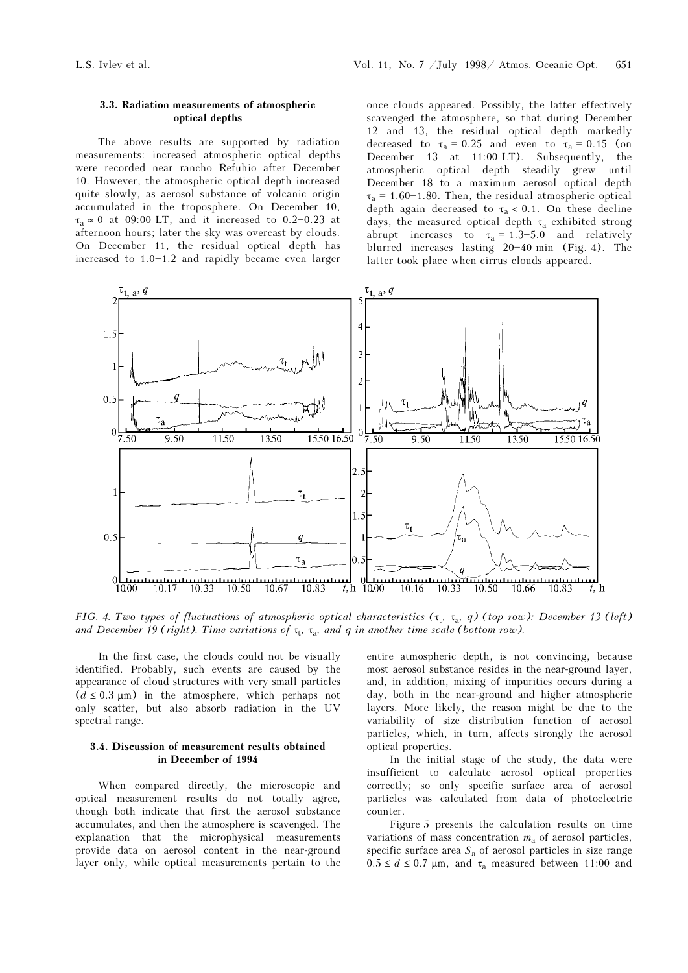### 3.3. Radiation measurements of atmospheric optical depths

The above results are supported by radiation measurements: increased atmospheric optical depths were recorded near rancho Refuhio after December 10. However, the atmospheric optical depth increased quite slowly, as aerosol substance of volcanic origin accumulated in the troposphere. On December 10,  $\tau_a \approx 0$  at 09:00 LT, and it increased to 0.2-0.23 at afternoon hours; later the sky was overcast by clouds. On December 11, the residual optical depth has increased to  $1.0 - 1.2$  and rapidly became even larger once clouds appeared. Possibly, the latter effectively scavenged the atmosphere, so that during December 12 and 13, the residual optical depth markedly decreased to  $\tau_a = 0.25$  and even to  $\tau_a = 0.15$  (on December 13 at 11:00 LT). Subsequently, the atmospheric optical depth steadily grew until December 18 to a maximum aerosol optical depth  $\tau_a$  = 1.60-1.80. Then, the residual atmospheric optical depth again decreased to  $\tau_a < 0.1$ . On these decline days, the measured optical depth  $\tau_a$  exhibited strong abrupt increases to  $\tau_a = 1.3 - 5.0$  and relatively blurred increases lasting  $20-40$  min (Fig. 4). The latter took place when cirrus clouds appeared.



FIG. 4. Two types of fluctuations of atmospheric optical characteristics  $(\tau_t, \tau_a, q)$  (top row): December 13 (left) and December 19 (right). Time variations of  $\tau_t$ ,  $\tau_a$ , and q in another time scale (bottom row).

In the first case, the clouds could not be visually identified. Probably, such events are caused by the appearance of cloud structures with very small particles  $(d \leq 0.3 \mu m)$  in the atmosphere, which perhaps not only scatter, but also absorb radiation in the UV spectral range.

### 3.4. Discussion of measurement results obtained in December of 1994

When compared directly, the microscopic and optical measurement results do not totally agree, though both indicate that first the aerosol substance accumulates, and then the atmosphere is scavenged. The explanation that the microphysical measurements provide data on aerosol content in the near-ground layer only, while optical measurements pertain to the

entire atmospheric depth, is not convincing, because most aerosol substance resides in the near-ground layer, and, in addition, mixing of impurities occurs during a day, both in the near-ground and higher atmospheric layers. More likely, the reason might be due to the variability of size distribution function of aerosol particles, which, in turn, affects strongly the aerosol optical properties.

In the initial stage of the study, the data were insufficient to calculate aerosol optical properties correctly; so only specific surface area of aerosol particles was calculated from data of photoelectric counter.

Figure 5 presents the calculation results on time variations of mass concentration  $m_a$  of aerosol particles, specific surface area $S_{\rm a}$  of aerosol particles in size range  $0.5 \le d \le 0.7$  µm, and  $\tau_a$  measured between 11:00 and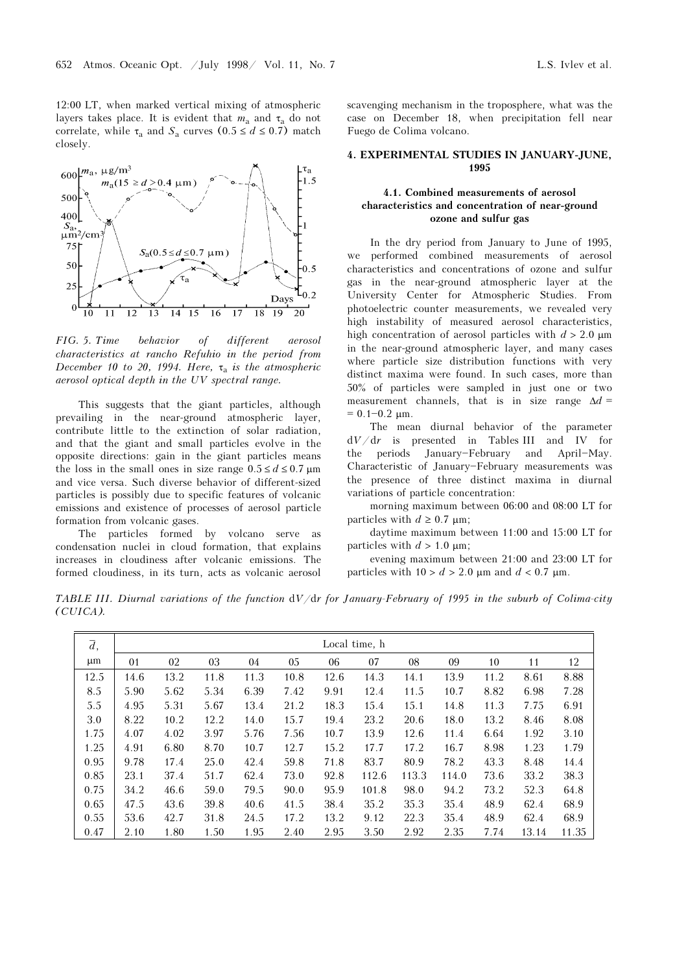12:00 LT, when marked vertical mixing of atmospheric layers takes place. It is evident that  $m_a$  and  $\tau_a$  do not correlate, while  $\tau_a$  and  $S_a$  curves  $(0.5 \le d \le 0.7)$  match closely.



FIG. 5. Time behavior of different aerosol characteristics at rancho Refuhio in the period from December 10 to 20, 1994. Here,  $\tau_a$  is the atmospheric aerosol optical depth in the UV spectral range.

This suggests that the giant particles, although prevailing in the near-ground atmospheric layer, contribute little to the extinction of solar radiation, and that the giant and small particles evolve in the opposite directions: gain in the giant particles means the loss in the small ones in size range  $0.5 \le d \le 0.7$  µm and vice versa. Such diverse behavior of different-sized particles is possibly due to specific features of volcanic emissions and existence of processes of aerosol particle formation from volcanic gases.

The particles formed by volcano serve as condensation nuclei in cloud formation, that explains increases in cloudiness after volcanic emissions. The formed cloudiness, in its turn, acts as volcanic aerosol scavenging mechanism in the troposphere, what was the case on December 18, when precipitation fell near Fuego de Colima volcano.

#### 4. EXPERIMENTAL STUDIES IN JANUARY-JUNE, 1995

# 4.1. Combined measurements of aerosol characteristics and concentration of near-ground ozone and sulfur gas

In the dry period from January to June of 1995, we performed combined measurements of aerosol characteristics and concentrations of ozone and sulfur gas in the near-ground atmospheric layer at the University Center for Atmospheric Studies. From photoelectric counter measurements, we revealed very high instability of measured aerosol characteristics, high concentration of aerosol particles with  $d > 2.0 \text{ }\mu\text{m}$ in the near-ground atmospheric layer, and many cases where particle size distribution functions with very distinct maxima were found. In such cases, more than 50% of particles were sampled in just one or two measurement channels, that is in size range  $\Delta d =$  $= 0.1 - 0.2$  μm.

The mean diurnal behavior of the parameter  $dV/dr$  is presented in Tables III and IV for the periods January-February and April-May. Characteristic of January-February measurements was the presence of three distinct maxima in diurnal variations of particle concentration:

morning maximum between 06:00 and 08:00 LT for particles with  $d \geq 0.7$  µm;

daytime maximum between 11:00 and 15:00 LT for particles with  $d > 1.0 \text{ }\mu\text{m}$ ;

evening maximum between 21:00 and 23:00 LT for particles with  $10 > d > 2.0$  μm and  $d < 0.7$  μm.

TABLE III. Diurnal variations of the function dV/dr for January-February of 1995 in the suburb of Colima-city (CUICA).

| $\overline{d}$ , |      |      |      |      |      |      | Local time, h |       |       |      |       |       |
|------------------|------|------|------|------|------|------|---------------|-------|-------|------|-------|-------|
| μm               | 01   | 02   | 03   | 04   | 05   | 06   | 07            | 08    | 09    | 10   | 11    | 12    |
| 12.5             | 14.6 | 13.2 | 11.8 | 11.3 | 10.8 | 12.6 | 14.3          | 14.1  | 13.9  | 11.2 | 8.61  | 8.88  |
| 8.5              | 5.90 | 5.62 | 5.34 | 6.39 | 7.42 | 9.91 | 12.4          | 11.5  | 10.7  | 8.82 | 6.98  | 7.28  |
| 5.5              | 4.95 | 5.31 | 5.67 | 13.4 | 21.2 | 18.3 | 15.4          | 15.1  | 14.8  | 11.3 | 7.75  | 6.91  |
| 3.0              | 8.22 | 10.2 | 12.2 | 14.0 | 15.7 | 19.4 | 23.2          | 20.6  | 18.0  | 13.2 | 8.46  | 8.08  |
| 1.75             | 4.07 | 4.02 | 3.97 | 5.76 | 7.56 | 10.7 | 13.9          | 12.6  | 11.4  | 6.64 | 1.92  | 3.10  |
| 1.25             | 4.91 | 6.80 | 8.70 | 10.7 | 12.7 | 15.2 | 17.7          | 17.2  | 16.7  | 8.98 | 1.23  | 1.79  |
| 0.95             | 9.78 | 17.4 | 25.0 | 42.4 | 59.8 | 71.8 | 83.7          | 80.9  | 78.2  | 43.3 | 8.48  | 14.4  |
| 0.85             | 23.1 | 37.4 | 51.7 | 62.4 | 73.0 | 92.8 | 112.6         | 113.3 | 114.0 | 73.6 | 33.2  | 38.3  |
| 0.75             | 34.2 | 46.6 | 59.0 | 79.5 | 90.0 | 95.9 | 101.8         | 98.0  | 94.2  | 73.2 | 52.3  | 64.8  |
| 0.65             | 47.5 | 43.6 | 39.8 | 40.6 | 41.5 | 38.4 | 35.2          | 35.3  | 35.4  | 48.9 | 62.4  | 68.9  |
| 0.55             | 53.6 | 42.7 | 31.8 | 24.5 | 17.2 | 13.2 | 9.12          | 22.3  | 35.4  | 48.9 | 62.4  | 68.9  |
| 0.47             | 2.10 | 1.80 | 1.50 | 1.95 | 2.40 | 2.95 | 3.50          | 2.92  | 2.35  | 7.74 | 13.14 | 11.35 |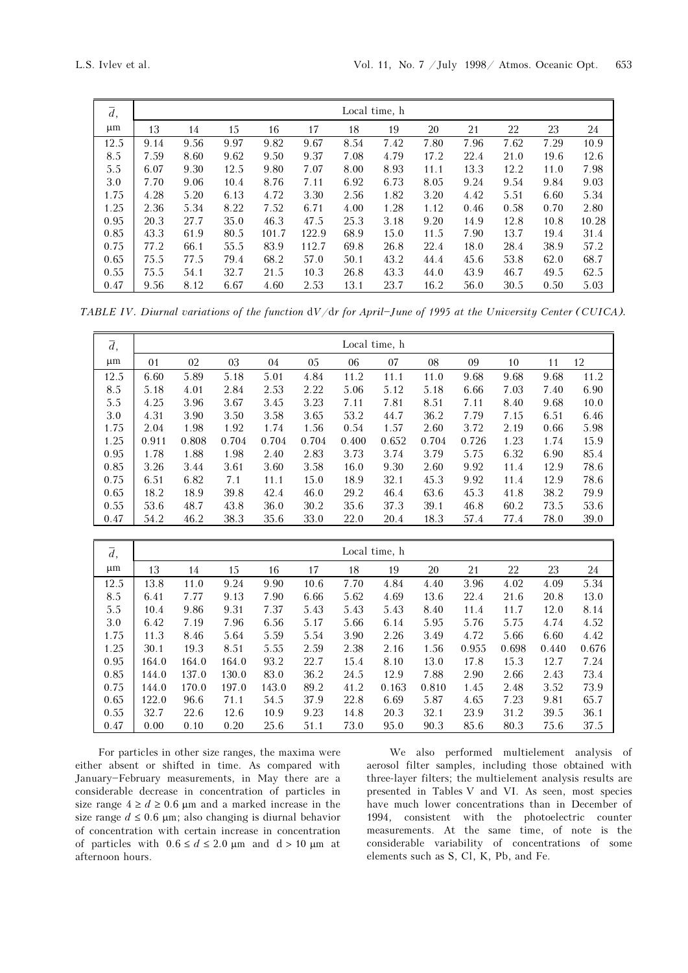| $\overline{d}$ , |      |      |      |       |       |      | Local time, h |      |      |      |      |       |
|------------------|------|------|------|-------|-------|------|---------------|------|------|------|------|-------|
| $\mu$ m          | 13   | 14   | 15   | 16    | 17    | 18   | 19            | 20   | 21   | 22   | 23   | 24    |
| 12.5             | 9.14 | 9.56 | 9.97 | 9.82  | 9.67  | 8.54 | 7.42          | 7.80 | 7.96 | 7.62 | 7.29 | 10.9  |
| 8.5              | 7.59 | 8.60 | 9.62 | 9.50  | 9.37  | 7.08 | 4.79          | 17.2 | 22.4 | 21.0 | 19.6 | 12.6  |
| 5.5              | 6.07 | 9.30 | 12.5 | 9.80  | 7.07  | 8.00 | 8.93          | 11.1 | 13.3 | 12.2 | 11.0 | 7.98  |
| 3.0              | 7.70 | 9.06 | 10.4 | 8.76  | 7.11  | 6.92 | 6.73          | 8.05 | 9.24 | 9.54 | 9.84 | 9.03  |
| 1.75             | 4.28 | 5.20 | 6.13 | 4.72  | 3.30  | 2.56 | 1.82          | 3.20 | 4.42 | 5.51 | 6.60 | 5.34  |
| 1.25             | 2.36 | 5.34 | 8.22 | 7.52  | 6.71  | 4.00 | 1.28          | 1.12 | 0.46 | 0.58 | 0.70 | 2.80  |
| 0.95             | 20.3 | 27.7 | 35.0 | 46.3  | 47.5  | 25.3 | 3.18          | 9.20 | 14.9 | 12.8 | 10.8 | 10.28 |
| 0.85             | 43.3 | 61.9 | 80.5 | 101.7 | 122.9 | 68.9 | 15.0          | 11.5 | 7.90 | 13.7 | 19.4 | 31.4  |
| 0.75             | 77.2 | 66.1 | 55.5 | 83.9  | 112.7 | 69.8 | 26.8          | 22.4 | 18.0 | 28.4 | 38.9 | 57.2  |
| 0.65             | 75.5 | 77.5 | 79.4 | 68.2  | 57.0  | 50.1 | 43.2          | 44.4 | 45.6 | 53.8 | 62.0 | 68.7  |
| 0.55             | 75.5 | 54.1 | 32.7 | 21.5  | 10.3  | 26.8 | 43.3          | 44.0 | 43.9 | 46.7 | 49.5 | 62.5  |
| 0.47             | 9.56 | 8.12 | 6.67 | 4.60  | 2.53  | 13.1 | 23.7          | 16.2 | 56.0 | 30.5 | 0.50 | 5.03  |

TABLE IV. Diurnal variations of the function  $dV/dr$  for April-June of 1995 at the University Center (CUICA).

| $\overline{d}$ , |       |       |       |       |       |       | Local time, h |       |       |      |      |      |
|------------------|-------|-------|-------|-------|-------|-------|---------------|-------|-------|------|------|------|
| μm               | 01    | 02    | 03    | 04    | 05    | 06    | 07            | 08    | 09    | 10   | 11   | 12   |
| 12.5             | 6.60  | 5.89  | 5.18  | 5.01  | 4.84  | 11.2  | 11.1          | 11.0  | 9.68  | 9.68 | 9.68 | 11.2 |
| 8.5              | 5.18  | 4.01  | 2.84  | 2.53  | 2.22  | 5.06  | 5.12          | 5.18  | 6.66  | 7.03 | 7.40 | 6.90 |
| 5.5              | 4.25  | 3.96  | 3.67  | 3.45  | 3.23  | 7.11  | 7.81          | 8.51  | 7.11  | 8.40 | 9.68 | 10.0 |
| 3.0              | 4.31  | 3.90  | 3.50  | 3.58  | 3.65  | 53.2  | 44.7          | 36.2  | 7.79  | 7.15 | 6.51 | 6.46 |
| 1.75             | 2.04  | 1.98  | 1.92  | 1.74  | 1.56  | 0.54  | 1.57          | 2.60  | 3.72  | 2.19 | 0.66 | 5.98 |
| 1.25             | 0.911 | 0.808 | 0.704 | 0.704 | 0.704 | 0.400 | 0.652         | 0.704 | 0.726 | 1.23 | 1.74 | 15.9 |
| 0.95             | 1.78  | 1.88  | 1.98  | 2.40  | 2.83  | 3.73  | 3.74          | 3.79  | 5.75  | 6.32 | 6.90 | 85.4 |
| 0.85             | 3.26  | 3.44  | 3.61  | 3.60  | 3.58  | 16.0  | 9.30          | 2.60  | 9.92  | 11.4 | 12.9 | 78.6 |
| 0.75             | 6.51  | 6.82  | 7.1   | 11.1  | 15.0  | 18.9  | 32.1          | 45.3  | 9.92  | 11.4 | 12.9 | 78.6 |
| 0.65             | 18.2  | 18.9  | 39.8  | 42.4  | 46.0  | 29.2  | 46.4          | 63.6  | 45.3  | 41.8 | 38.2 | 79.9 |
| 0.55             | 53.6  | 48.7  | 43.8  | 36.0  | 30.2  | 35.6  | 37.3          | 39.1  | 46.8  | 60.2 | 73.5 | 53.6 |
| 0.47             | 54.2  | 46.2  | 38.3  | 35.6  | 33.0  | 22.0  | 20.4          | 18.3  | 57.4  | 77.4 | 78.0 | 39.0 |

| $\overline{d}$ , |       |       |       |       |      |      | Local time, h |       |       |       |       |       |
|------------------|-------|-------|-------|-------|------|------|---------------|-------|-------|-------|-------|-------|
| $\mu$ m          | 13    | 14    | 15    | 16    | 17   | 18   | 19            | 20    | 21    | 22    | 23    | 24    |
| 12.5             | 13.8  | 11.0  | 9.24  | 9.90  | 10.6 | 7.70 | 4.84          | 4.40  | 3.96  | 4.02  | 4.09  | 5.34  |
| 8.5              | 6.41  | 7.77  | 9.13  | 7.90  | 6.66 | 5.62 | 4.69          | 13.6  | 22.4  | 21.6  | 20.8  | 13.0  |
| 5.5              | 10.4  | 9.86  | 9.31  | 7.37  | 5.43 | 5.43 | 5.43          | 8.40  | 11.4  | 11.7  | 12.0  | 8.14  |
| 3.0              | 6.42  | 7.19  | 7.96  | 6.56  | 5.17 | 5.66 | 6.14          | 5.95  | 5.76  | 5.75  | 4.74  | 4.52  |
| 1.75             | 11.3  | 8.46  | 5.64  | 5.59  | 5.54 | 3.90 | 2.26          | 3.49  | 4.72  | 5.66  | 6.60  | 4.42  |
| 1.25             | 30.1  | 19.3  | 8.51  | 5.55  | 2.59 | 2.38 | 2.16          | 1.56  | 0.955 | 0.698 | 0.440 | 0.676 |
| 0.95             | 164.0 | 164.0 | 164.0 | 93.2  | 22.7 | 15.4 | 8.10          | 13.0  | 17.8  | 15.3  | 12.7  | 7.24  |
| 0.85             | 144.0 | 137.0 | 130.0 | 83.0  | 36.2 | 24.5 | 12.9          | 7.88  | 2.90  | 2.66  | 2.43  | 73.4  |
| 0.75             | 144.0 | 170.0 | 197.0 | 143.0 | 89.2 | 41.2 | 0.163         | 0.810 | 1.45  | 2.48  | 3.52  | 73.9  |
| 0.65             | 122.0 | 96.6  | 71.1  | 54.5  | 37.9 | 22.8 | 6.69          | 5.87  | 4.65  | 7.23  | 9.81  | 65.7  |
| 0.55             | 32.7  | 22.6  | 12.6  | 10.9  | 9.23 | 14.8 | 20.3          | 32.1  | 23.9  | 31.2  | 39.5  | 36.1  |
| 0.47             | 0.00  | 0.10  | 0.20  | 25.6  | 51.1 | 73.0 | 95.0          | 90.3  | 85.6  | 80.3  | 75.6  | 37.5  |

For particles in other size ranges, the maxima were either absent or shifted in time. As compared with January-February measurements, in May there are a considerable decrease in concentration of particles in size range  $4 \ge d \ge 0.6$  µm and a marked increase in the size range  $d \leq 0.6$  µm; also changing is diurnal behavior of concentration with certain increase in concentration of particles with  $0.6 \le d \le 2.0 \text{ }\mu\text{m}$  and  $d > 10 \text{ }\mu\text{m}$  at afternoon hours.

We also performed multielement analysis of aerosol filter samples, including those obtained with three-layer filters; the multielement analysis results are presented in Tables V and VI. As seen, most species have much lower concentrations than in December of 1994, consistent with the photoelectric counter measurements. At the same time, of note is the considerable variability of concentrations of some elements such as S, Cl, K, Pb, and Fe.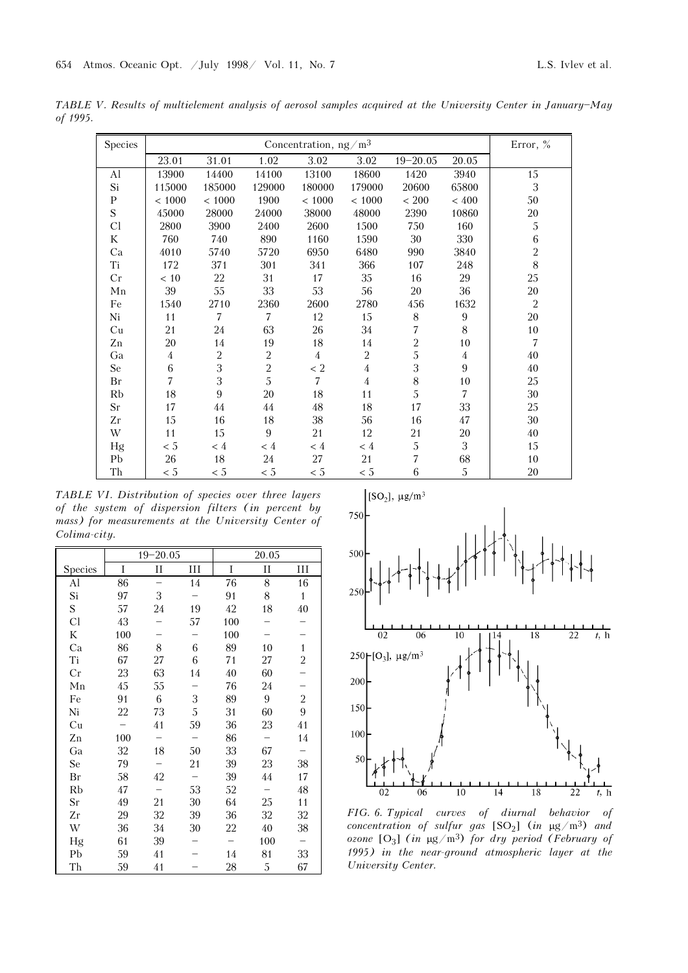TABLE V. Results of multielement analysis of aerosol samples acquired at the University Center in January-May of 1995.

| <b>Species</b> |                |                |                | Concentration, $ng/m3$ |                |                |                  | Error, $%$     |
|----------------|----------------|----------------|----------------|------------------------|----------------|----------------|------------------|----------------|
|                | 23.01          | 31.01          | 1.02           | 3.02                   | 3.02           | $19 - 20.05$   | 20.05            |                |
| Al             | 13900          | 14400          | 14100          | 13100                  | 18600          | 1420           | 3940             | 15             |
| Si             | 115000         | 185000         | 129000         | 180000                 | 179000         | 20600          | 65800            | $\sqrt{3}$     |
| $\mathbf{P}$   | < 1000         | ${}< 1000$     | 1900           | ${}< 1000$             | ${}< 1000$     | $< 200$        | ${}< 400$        | 50             |
| S              | 45000          | 28000          | 24000          | 38000                  | 48000          | 2390           | 10860            | 20             |
| Cl             | 2800           | 3900           | 2400           | 2600                   | 1500           | 750            | 160              | $\sqrt{5}$     |
| K              | 760            | 740            | 890            | 1160                   | 1590           | 30             | 330              | $\,6\,$        |
| Ca             | 4010           | 5740           | 5720           | 6950                   | 6480           | 990            | 3840             | $\overline{2}$ |
| Ti             | 172            | 371            | 301            | 341                    | 366            | 107            | 248              | 8              |
| Cr             | $<10$          | $22\,$         | 31             | 17                     | 35             | 16             | 29               | 25             |
| Mn             | 39             | 55             | 33             | 53                     | 56             | 20             | 36               | 20             |
| Fe             | 1540           | 2710           | 2360           | 2600                   | 2780           | 456            | 1632             | $\overline{2}$ |
| Ni             | 11             | $\overline{7}$ | $\overline{7}$ | 12                     | 15             | $8\,$          | $\boldsymbol{9}$ | $20\,$         |
| Cu             | 21             | 24             | 63             | 26                     | 34             | 7              | $8\,$            | 10             |
| Zn             | 20             | 14             | 19             | 18                     | 14             | $\overline{2}$ | 10               | $\overline{7}$ |
| Ga             | $\overline{4}$ | $\overline{2}$ | $\overline{2}$ | $\overline{4}$         | $\overline{2}$ | 5              | 4                | 40             |
| Se             | $\,6$          | 3              | $\overline{2}$ | $< 2\,$                | $\overline{4}$ | 3              | 9                | 40             |
| Br             | 7              | 3              | 5              | $\overline{7}$         | $\overline{4}$ | $8\,$          | 10               | 25             |
| Rb             | 18             | 9              | 20             | 18                     | 11             | 5              | $\overline{7}$   | 30             |
| Sr             | 17             | 44             | 44             | $48\,$                 | 18             | 17             | 33               | 25             |
| Zr             | 15             | 16             | 18             | 38                     | 56             | 16             | 47               | 30             |
| W              | 11             | 15             | 9              | 21                     | 12             | 21             | 20               | 40             |
| Hg             | < 5            | $\leq 4$       | $\leq 4$       | < 4                    | < 4            | $\mathbf{5}$   | 3                | 15             |
| Pb             | $26\,$         | 18             | 24             | 27                     | 21             | 7              | 68               | 10             |
| Th             | < 5            | $< 5\,$        | $< 5\,$        | < 5                    | < 5            | 6              | 5                | 20             |

TABLE VI. Distribution of species over three layers of the system of dispersion filters (in percent by mass) for measurements at the University Center of Colima-city.

|         |     | $19 - 20.05$ |    |     | 20.05       |                |
|---------|-----|--------------|----|-----|-------------|----------------|
| Species | I   | П            | Ш  | I   | $_{\rm II}$ | III            |
| Al      | 86  |              | 14 | 76  | 8           | 16             |
| Si      | 97  | 3            |    | 91  | 8           | $\mathbf{1}$   |
| S       | 57  | 24           | 19 | 42  | 18          | 40             |
| Cl      | 43  |              | 57 | 100 |             |                |
| K       | 100 |              |    | 100 |             |                |
| Ca      | 86  | 8            | 6  | 89  | 10          | $\mathbf{1}$   |
| Ti      | 67  | 27           | 6  | 71  | 27          | $\overline{2}$ |
| Cr      | 23  | 63           | 14 | 40  | 60          |                |
| Mn      | 45  | 55           |    | 76  | 24          |                |
| Fe      | 91  | 6            | 3  | 89  | 9           | $\overline{c}$ |
| Ni      | 22  | 73           | 5  | 31  | 60          | 9              |
| Cu      |     | 41           | 59 | 36  | 23          | 41             |
| Zn      | 100 |              |    | 86  |             | 14             |
| Ga      | 32  | 18           | 50 | 33  | 67          |                |
| Se      | 79  |              | 21 | 39  | 23          | 38             |
| Br      | 58  | 42           |    | 39  | 44          | 17             |
| Rb      | 47  |              | 53 | 52  |             | 48             |
| Sr      | 49  | 21           | 30 | 64  | 25          | 11             |
| Zr      | 29  | 32           | 39 | 36  | 32          | 32             |
| W       | 36  | 34           | 30 | 22  | 40          | 38             |
| Hg      | 61  | 39           |    |     | 100         |                |
| Pb      | 59  | 41           |    | 14  | 81          | 33             |
| Th      | 59  | 41           |    | 28  | 5           | 67             |



FIG. 6. Typical curves of diurnal behavior of concentration of sulfur gas  $[SO_2]$  (in  $\mu$ g/m<sup>3</sup>) and ozone  $[O_3]$  (in  $\mu$ g/m<sup>3</sup>) for dry period (February of 1995) in the near-ground atmospheric layer at the University Center.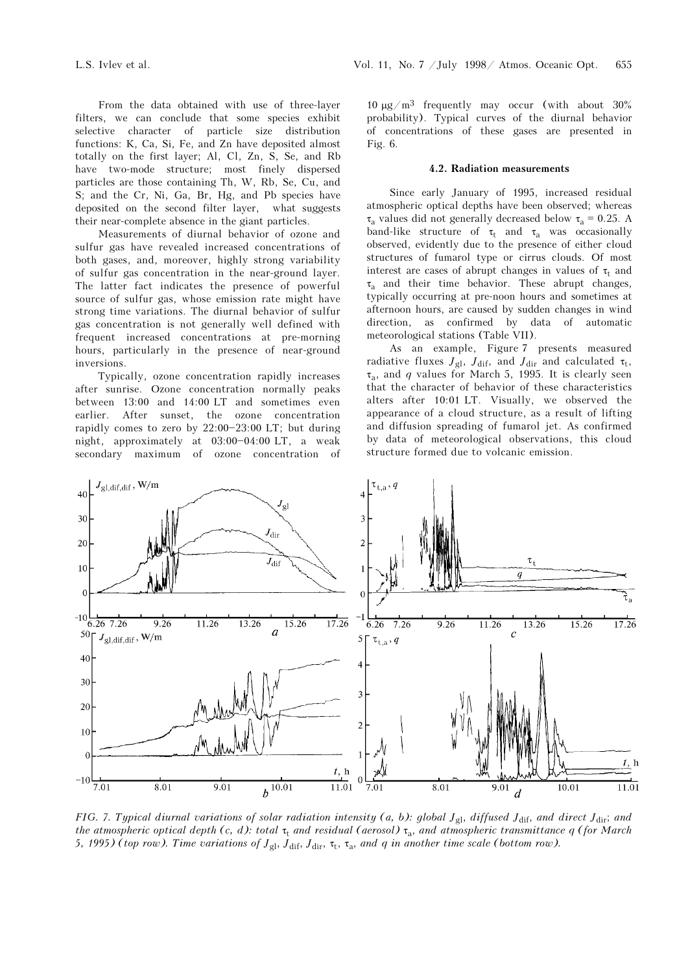From the data obtained with use of three-layer filters, we can conclude that some species exhibit selective character of particle size distribution functions: K, Ca, Si, Fe, and Zn have deposited almost totally on the first layer; Al, Cl, Zn, S, Se, and Rb have two-mode structure; most finely dispersed particles are those containing Th, W, Rb, Se, Cu, and S; and the Cr, Ni, Ga, Br, Hg, and Pb species have deposited on the second filter layer, what suggests their near-complete absence in the giant particles.

Measurements of diurnal behavior of ozone and sulfur gas have revealed increased concentrations of both gases, and, moreover, highly strong variability of sulfur gas concentration in the near-ground layer. The latter fact indicates the presence of powerful source of sulfur gas, whose emission rate might have strong time variations. The diurnal behavior of sulfur gas concentration is not generally well defined with frequent increased concentrations at pre-morning hours, particularly in the presence of near-ground inversions.

Typically, ozone concentration rapidly increases after sunrise. Ozone concentration normally peaks between 13:00 and 14:00 LT and sometimes even earlier. After sunset, the ozone concentration rapidly comes to zero by  $22:00-23:00$  LT; but during night, approximately at  $03:00-04:00$  LT, a weak secondary maximum of ozone concentration of 10 μg/m<sup>3</sup> frequently may occur (with about 30% probability). Typical curves of the diurnal behavior of concentrations of these gases are presented in Fig. 6.

#### 4.2. Radiation measurements

Since early January of 1995, increased residual atmospheric optical depths have been observed; whereas τ<sub>a</sub> values did not generally decreased below τ<sub>a</sub> = 0.25. A band-like structure of  $\tau_t$  and  $\tau_a$  was occasionally observed, evidently due to the presence of either cloud structures of fumarol type or cirrus clouds. Of most interest are cases of abrupt changes in values of  $\tau_t$  and  $\tau_a$  and their time behavior. These abrupt changes, typically occurring at pre-noon hours and sometimes at afternoon hours, are caused by sudden changes in wind direction, as confirmed by data of automatic meteorological stations (Table VII).

As an example, Figure 7 presents measured radiative fluxes  $J_{gl}$ ,  $J_{dif}$ , and  $J_{dir}$  and calculated  $\tau_t$ ,  $\tau_a$ , and q values for March 5, 1995. It is clearly seen that the character of behavior of these characteristics alters after 10:01 LT. Visually, we observed the appearance of a cloud structure, as a result of lifting and diffusion spreading of fumarol jet. As confirmed by data of meteorological observations, this cloud structure formed due to volcanic emission.



FIG. 7. Typical diurnal variations of solar radiation intensity (a, b): global  $J_{gl}$ , diffused  $J_{dif}$ , and direct  $J_{dir}$ ; and the atmospheric optical depth (c, d): total  $\tau_t$  and residual (aerosol)  $\tau_a$ , and atmospheric transmittance q (for March 5, 1995) (top row). Time variations of  $J_{gl}$ ,  $J_{dif}$ ,  $J_{dir}$ ,  $\tau_t$ ,  $\tau_a$ , and q in another time scale (bottom row).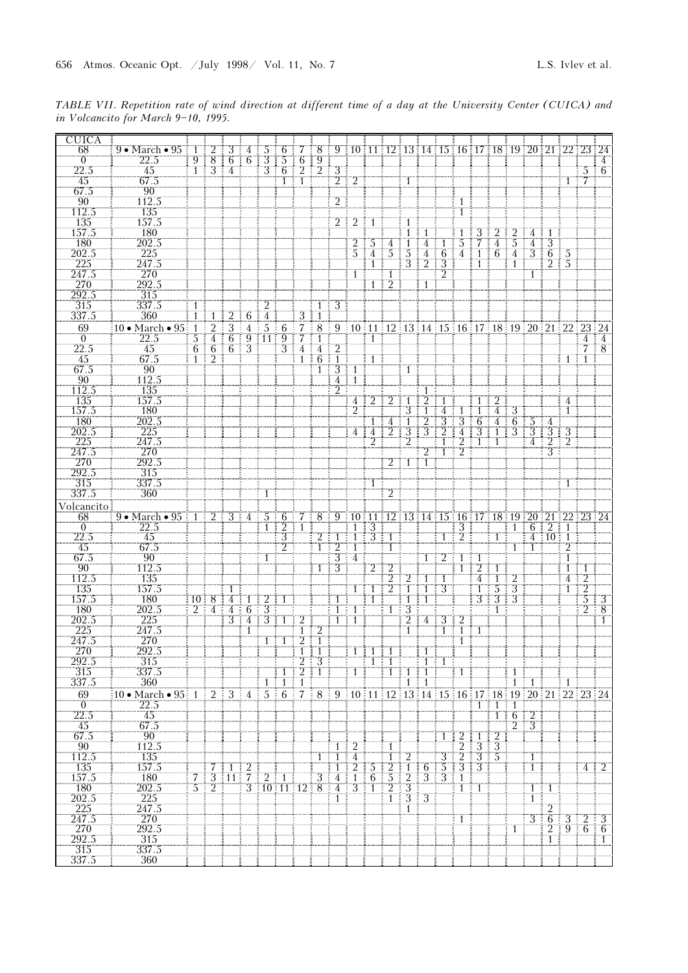TABLE VII. Repetition rate of wind direction at different time of a day at the University Center (CUICA) and in Volcancito for March 9-10, 1995.

| <b>CUICA</b>             |                                         |                                 |                                  |                                  |                                 |                                  |                                 |                                |                                  |                                    |                |                             |                                  |                                  |                                                                                                                                                                                                                                                                                                                                                                             |                     |                         |                      |                       |                                       |                |                     |                                 |                               |                                 |
|--------------------------|-----------------------------------------|---------------------------------|----------------------------------|----------------------------------|---------------------------------|----------------------------------|---------------------------------|--------------------------------|----------------------------------|------------------------------------|----------------|-----------------------------|----------------------------------|----------------------------------|-----------------------------------------------------------------------------------------------------------------------------------------------------------------------------------------------------------------------------------------------------------------------------------------------------------------------------------------------------------------------------|---------------------|-------------------------|----------------------|-----------------------|---------------------------------------|----------------|---------------------|---------------------------------|-------------------------------|---------------------------------|
| 68<br>$\overline{0}$     | $9 \cdot \text{March} \cdot 95$<br>22.5 | $9$ ]                           | $1 \mid 2$                       | $\pm 3$<br>÷                     | $4 \mid 5$<br>$6 \mid 6 \mid 3$ |                                  | 5                               | $\overline{6}$                 |                                  |                                    |                |                             |                                  |                                  | 6 7 8 9 10 11 12 13 14 15 16 17 18 19 20 21 22 23 24                                                                                                                                                                                                                                                                                                                        |                     |                         |                      |                       |                                       |                |                     |                                 |                               |                                 |
| 22.5                     | 45                                      | $\overline{1}$ i                | $\frac{8}{3}$                    | 4<br>÷                           |                                 | $\bar{3}$                        | 6 <sup>1</sup>                  | $\overline{2}$                 | $\frac{9}{2}$                    | 3 <sup>7</sup>                     |                |                             |                                  |                                  |                                                                                                                                                                                                                                                                                                                                                                             |                     |                         |                      |                       |                                       |                |                     |                                 |                               | $5 \overline{6}$                |
| 45<br>67.5               | 67.5<br>$\overline{90}$                 |                                 |                                  |                                  |                                 |                                  | $\overline{1}$ i $\overline{1}$ |                                |                                  | $2 \mid 2$                         |                |                             |                                  | -1                               |                                                                                                                                                                                                                                                                                                                                                                             |                     |                         |                      |                       |                                       |                |                     |                                 | $\overline{1}$ $\overline{7}$ |                                 |
| 90                       | 112.5                                   |                                 |                                  |                                  |                                 |                                  |                                 |                                |                                  | $\overline{2}$                     |                |                             |                                  |                                  |                                                                                                                                                                                                                                                                                                                                                                             |                     | -1                      |                      |                       |                                       |                |                     |                                 |                               |                                 |
| 112.5                    | 135                                     |                                 |                                  |                                  |                                 |                                  |                                 |                                |                                  |                                    |                |                             |                                  |                                  |                                                                                                                                                                                                                                                                                                                                                                             |                     | Ï                       |                      |                       |                                       |                |                     |                                 |                               |                                 |
| 135<br>157.5             | 157.5<br>180                            |                                 |                                  |                                  |                                 |                                  |                                 |                                |                                  |                                    | $2 \mid 2$     | $\frac{1}{2}$ 1             |                                  | -1<br>$\mathbf{1}$               |                                                                                                                                                                                                                                                                                                                                                                             |                     |                         | 3                    | 2                     | 2                                     | 4              | $\overline{1}$      |                                 |                               |                                 |
| <b>180</b>               | 202.5                                   |                                 |                                  |                                  |                                 |                                  |                                 |                                |                                  |                                    | $\overline{2}$ | -5                          | 4                                |                                  | 4                                                                                                                                                                                                                                                                                                                                                                           |                     | 5                       | 7                    | 4                     | 5                                     | 4              | 3                   |                                 |                               |                                 |
| 202.5                    | 225                                     |                                 |                                  |                                  |                                 |                                  |                                 |                                |                                  |                                    | $5^{\circ}$    | 4                           | $\overline{5}$                   | 5                                | $\overline{4}$<br>ŧ                                                                                                                                                                                                                                                                                                                                                         | 6                   | $\overline{4}$ i        | $\top$               | $6 \mid 4$            |                                       | $\overline{3}$ | $6 \mid 5$          |                                 |                               |                                 |
| 225<br>247.5             | 247.5<br>270                            |                                 |                                  |                                  |                                 |                                  |                                 |                                |                                  |                                    | 1              |                             | $\mathbf{1}$                     | З                                | 2                                                                                                                                                                                                                                                                                                                                                                           | 3<br>$\overline{2}$ |                         |                      |                       |                                       | $\overline{1}$ | 2                   | $\frac{1}{2}$ 5                 |                               |                                 |
| 270                      | 292.5                                   |                                 |                                  |                                  |                                 |                                  |                                 |                                |                                  |                                    |                | $\mathbf{1}$                | $\overline{2}$                   |                                  | 1                                                                                                                                                                                                                                                                                                                                                                           |                     |                         |                      |                       |                                       |                |                     |                                 |                               |                                 |
| 292.5                    | 315                                     |                                 |                                  |                                  |                                 |                                  |                                 |                                |                                  |                                    |                |                             |                                  |                                  |                                                                                                                                                                                                                                                                                                                                                                             |                     |                         |                      |                       |                                       |                |                     |                                 |                               |                                 |
| 315<br>337.5             | 337.5<br>360                            | 1<br>$\mathbf{1}$               | 1                                | 2                                | 6                               | $\overline{2}$<br>$\overline{4}$ |                                 | $\overline{3}$                 | -1<br>$\mathbf{1}$               | $\overline{3}$                     |                |                             |                                  |                                  |                                                                                                                                                                                                                                                                                                                                                                             |                     |                         |                      |                       |                                       |                |                     |                                 |                               |                                 |
| 69                       | 10 $\bullet$ March $\bullet$ 95 1       |                                 | 2                                | 3                                | $\overline{4}$                  | 5 <sup>1</sup>                   | 6<br>÷                          | 7                              | 8                                |                                    |                |                             |                                  |                                  | $9 \stackrel{1}{\equiv} 10 \stackrel{1}{\equiv} 11 \stackrel{1}{\equiv} 12 \stackrel{1}{\equiv} 13 \stackrel{1}{\equiv} 14 \stackrel{1}{\equiv} 15 \stackrel{1}{\equiv} 16 \stackrel{1}{\equiv} 17 \stackrel{1}{\equiv} 18 \stackrel{1}{\equiv} 19 \stackrel{1}{\equiv} 20 \stackrel{1}{\equiv} 21 \stackrel{1}{\equiv} 22 \stackrel{1}{\equiv} 23 \stackrel{1}{\equiv} 24$ |                     |                         |                      |                       |                                       |                |                     |                                 |                               |                                 |
| $\theta$                 | 22.5                                    | 3                               | $\overline{4}$                   | 6                                |                                 | $9$ 11 9                         | Ξ                               | 7                              | $\overline{1}$                   |                                    |                | $\overline{1}$              |                                  |                                  |                                                                                                                                                                                                                                                                                                                                                                             |                     |                         |                      |                       |                                       |                |                     |                                 | 4                             | $\frac{1}{2}$ 4                 |
| 22.5<br>45               | 45<br>67.5                              | $6 \frac{1}{3}$<br>$\mathbf{1}$ | $\overline{6}$<br>$\overline{2}$ | 6:<br>÷                          | $\overline{3}$                  |                                  | 3 <sup>1</sup>                  | $\overline{4}$<br>$\mathbf{1}$ | 4<br>$\overline{6}$              | 2<br>$\mathbf{1}$                  |                | 1                           |                                  |                                  |                                                                                                                                                                                                                                                                                                                                                                             |                     |                         |                      |                       |                                       |                |                     | 1                               | 7<br>-1                       | $\frac{1}{2}$ 8                 |
| 67.5                     | 90                                      |                                 |                                  |                                  |                                 |                                  |                                 |                                | T                                | $\overline{3}$ ]                   | 1              |                             |                                  | 1                                |                                                                                                                                                                                                                                                                                                                                                                             |                     |                         |                      |                       |                                       |                |                     |                                 |                               |                                 |
| 90<br>112.5              | 112.5<br>135                            |                                 |                                  |                                  |                                 |                                  |                                 |                                |                                  | $\overline{4}$                     | Ï              |                             |                                  |                                  |                                                                                                                                                                                                                                                                                                                                                                             |                     |                         |                      |                       |                                       |                |                     |                                 |                               |                                 |
| 135                      | 157.5                                   |                                 |                                  |                                  |                                 |                                  |                                 |                                |                                  | $\overline{2}$                     | 4              |                             |                                  |                                  |                                                                                                                                                                                                                                                                                                                                                                             |                     |                         |                      | $\overline{2}$        |                                       |                |                     | 4                               |                               |                                 |
| 157.5                    | 180                                     |                                 |                                  |                                  |                                 |                                  |                                 |                                |                                  |                                    | $\overline{2}$ |                             |                                  | 3                                |                                                                                                                                                                                                                                                                                                                                                                             | 4                   |                         |                      | 4                     | $\frac{1}{2}$ 3                       |                |                     | $\mathbf{1}$                    |                               |                                 |
| 180<br>202.5             | 202.5                                   |                                 |                                  |                                  |                                 |                                  |                                 |                                |                                  |                                    | 4              |                             | $\overline{4}$<br>$\overline{2}$ | 1<br>3                           | $\overline{2}$<br>3                                                                                                                                                                                                                                                                                                                                                         | 3<br>2              | 3<br>4                  | $\overline{6}$<br>3  | 4                     | $\overline{6}$<br>ŧ<br>$\overline{3}$ | $\frac{5}{3}$  | 4<br>$\overline{3}$ |                                 |                               |                                 |
| $\frac{225}{247.5}$      | $\frac{225}{247.5}$                     |                                 |                                  |                                  |                                 |                                  |                                 |                                |                                  |                                    |                |                             |                                  |                                  |                                                                                                                                                                                                                                                                                                                                                                             |                     | $\overline{2}$          |                      |                       |                                       | 4              | $\overline{2}$      | $\frac{3}{2}$                   |                               |                                 |
|                          | 270                                     |                                 |                                  |                                  |                                 |                                  |                                 |                                |                                  |                                    |                |                             |                                  |                                  |                                                                                                                                                                                                                                                                                                                                                                             | T                   | $\overline{2}$          |                      |                       |                                       |                | $\overline{3}$      |                                 |                               |                                 |
| $\frac{1}{270}$<br>292.5 | 292.5<br>$\overline{315}$               |                                 |                                  |                                  |                                 |                                  |                                 |                                |                                  |                                    |                |                             |                                  | $2$ 1 1 1                        |                                                                                                                                                                                                                                                                                                                                                                             |                     |                         |                      |                       |                                       |                |                     |                                 |                               |                                 |
| 315                      | 337.5                                   |                                 |                                  |                                  |                                 |                                  |                                 |                                |                                  |                                    |                | 1                           |                                  |                                  |                                                                                                                                                                                                                                                                                                                                                                             |                     |                         |                      |                       |                                       |                |                     | $\top$                          |                               |                                 |
| 337.5                    | 360                                     |                                 |                                  |                                  |                                 | -1                               |                                 |                                |                                  |                                    |                |                             | $\overline{2}$                   |                                  |                                                                                                                                                                                                                                                                                                                                                                             |                     |                         |                      |                       |                                       |                |                     |                                 |                               |                                 |
| Volcancito<br>68         | $9 \cdot \text{March} \cdot 95$         | ÷.                              |                                  | $1 \ 2 \ 3 \ 4 \ 5 \ 6$          |                                 |                                  |                                 |                                | $8^{\circ}$                      |                                    |                |                             |                                  |                                  | 9 10 11 12 13 14 15 16 17 18 19 20 21 22 23 24                                                                                                                                                                                                                                                                                                                              |                     |                         |                      |                       |                                       |                |                     |                                 |                               |                                 |
| $\overline{0}$           | 22.5                                    |                                 |                                  |                                  |                                 |                                  | $\overline{2}$                  |                                |                                  |                                    |                | 3                           |                                  |                                  |                                                                                                                                                                                                                                                                                                                                                                             |                     | 3                       |                      |                       | $\mathbf{1}$                          | 6              | -2                  | i 1                             |                               |                                 |
| 22.5                     | 45                                      |                                 |                                  |                                  |                                 |                                  | $\overline{3}$                  |                                | $2 \nmid 1$                      |                                    | $\mathbf{1}$   | $\frac{1}{3}$ $\frac{1}{1}$ |                                  |                                  |                                                                                                                                                                                                                                                                                                                                                                             | 1                   | $\overline{2}$          |                      | 1                     | ÷                                     |                | 4:10:1              |                                 |                               |                                 |
| 45<br>67.5               | 67.5<br>$90^\circ$                      |                                 |                                  |                                  |                                 | 1                                | $\overline{2}$                  |                                | $\mathbf{1}$                     | 2<br>$\overline{3}$ $\overline{4}$ | $\mathbf{1}$   |                             | 1                                |                                  |                                                                                                                                                                                                                                                                                                                                                                             | 2                   | $\pm$ 1 $\pm$           |                      |                       | $\mathbf{1}$                          | 1              |                     | $\overline{2}$<br>T             |                               |                                 |
| $\frac{90}{112.5}$       | 112.5                                   |                                 |                                  |                                  |                                 |                                  |                                 |                                |                                  | 3                                  |                |                             | T2                               |                                  |                                                                                                                                                                                                                                                                                                                                                                             |                     |                         |                      |                       |                                       |                |                     | $\mathbf{1}$                    | -1                            |                                 |
|                          | 135                                     |                                 |                                  |                                  |                                 |                                  |                                 |                                |                                  |                                    |                |                             | $2^{\dagger}$                    | 2                                |                                                                                                                                                                                                                                                                                                                                                                             | $\pm$ 1             |                         | 4:                   | $\overline{1}$        | $\frac{1}{2}$                         |                |                     | 4                               | $\overline{2}$<br>÷           |                                 |
| 135<br>157.5             | 157.5<br>180                            | 10 <sup>3</sup>                 |                                  | $\overline{1}$<br>4              | 1                               | 2                                |                                 |                                |                                  | 1                                  |                | $\overline{1}$              | $\overline{2}$                   | $\overline{1}$<br>-1<br>÷.       | -1                                                                                                                                                                                                                                                                                                                                                                          | 3                   |                         | 1:<br>3†             | 5<br>$3 \mid 3$       | : 3                                   |                |                     | $\mathbf{1}$                    | $\overline{2}$<br>÷<br>3      | $\overline{\mathbf{3}}$         |
| $\frac{180}{202.5}$      | 202.5                                   | 2 <sup>1</sup>                  | 4                                | $\overline{4}$                   | 6                               | 3                                |                                 |                                |                                  | 1 <sup>i</sup>                     | $\overline{1}$ |                             | 1                                | 3                                |                                                                                                                                                                                                                                                                                                                                                                             |                     |                         |                      | 1                     |                                       |                |                     |                                 | $\overline{2}$                | $\overline{8}$                  |
| 225                      | 225<br>247.5                            |                                 |                                  | $\overline{3}$                   | $\overline{4}$<br>T             | $3+$                             | -1                              | 7                              |                                  | 1                                  | $\overline{1}$ |                             |                                  | $\frac{2}{1}$                    | 4                                                                                                                                                                                                                                                                                                                                                                           | 3<br>$\top$         | Ĩ.                      |                      |                       |                                       |                |                     |                                 |                               | $\overline{1}$                  |
| 247.5                    | 270                                     |                                 |                                  |                                  |                                 | $1\pm$                           | ŧ<br>1                          | 2                              | T                                |                                    |                |                             |                                  |                                  |                                                                                                                                                                                                                                                                                                                                                                             |                     | 1                       |                      |                       |                                       |                |                     |                                 |                               |                                 |
| 270                      | 292.5                                   |                                 |                                  |                                  |                                 |                                  |                                 |                                |                                  |                                    |                |                             | Ŧ                                |                                  |                                                                                                                                                                                                                                                                                                                                                                             |                     |                         |                      |                       |                                       |                |                     |                                 |                               |                                 |
| 292.5<br>315             | $\overline{315}$<br>337.5               |                                 |                                  |                                  |                                 |                                  |                                 | $\frac{2}{2}$                  | $\overline{3}$<br>$\overline{1}$ |                                    |                | $\mathbf{1}$                |                                  |                                  |                                                                                                                                                                                                                                                                                                                                                                             |                     | -1                      |                      |                       | 1                                     |                |                     |                                 |                               |                                 |
| 337.5                    | 360                                     |                                 |                                  |                                  |                                 | 1                                | $1 \equiv$<br>÷                 | $\overline{1}$                 |                                  |                                    |                |                             |                                  | 1                                |                                                                                                                                                                                                                                                                                                                                                                             |                     |                         |                      |                       | $\mathbf{1}$                          | 1:             |                     |                                 |                               |                                 |
| 69                       | 10 • March • 95 $1 \nvert 2 \nvert 3$   |                                 |                                  |                                  |                                 | $4 \t3 \t5 \t6 \t7$              |                                 |                                |                                  |                                    |                |                             |                                  |                                  | $\frac{1}{2}$ 8 $\frac{1}{2}$ 9 $\frac{1}{2}$ 10 $\frac{1}{2}$ 11 $\frac{1}{2}$ 12 $\frac{1}{2}$ 13 $\frac{1}{2}$ 14 $\frac{1}{2}$ 15 $\frac{1}{2}$ 16 $\frac{1}{2}$ 17 $\frac{1}{2}$ 18 $\frac{1}{2}$ 19 $\frac{1}{2}$ 20 $\frac{1}{2}$ 21 $\frac{1}{2}$ 22 $\frac{1}{2}$ 23 $\frac{1}{2}$ 24                                                                              |                     |                         |                      |                       |                                       |                |                     |                                 |                               |                                 |
| $\overline{0}$<br>22.5   | 22.5<br>45                              |                                 |                                  |                                  |                                 |                                  |                                 |                                |                                  |                                    |                |                             |                                  |                                  |                                                                                                                                                                                                                                                                                                                                                                             |                     |                         |                      | $\overline{1}$ 1<br>1 | $\pm 1$<br>$\overline{16}$            |                |                     |                                 |                               |                                 |
| 45                       | 67.5                                    |                                 |                                  |                                  |                                 |                                  |                                 |                                |                                  |                                    |                |                             |                                  |                                  |                                                                                                                                                                                                                                                                                                                                                                             |                     |                         |                      |                       | $\overline{2}$                        | $\frac{12}{3}$ |                     |                                 |                               |                                 |
| 67.5<br>90               | $\overline{90}$<br>112.5                |                                 |                                  |                                  |                                 |                                  |                                 |                                |                                  |                                    |                |                             |                                  |                                  |                                                                                                                                                                                                                                                                                                                                                                             | 1                   | $\overline{2}$          | -1<br>$\overline{3}$ | $\frac{2}{3}$         |                                       |                |                     |                                 |                               |                                 |
| 112.5                    | 135                                     |                                 |                                  |                                  |                                 |                                  |                                 |                                |                                  | 1 : 1                              | 4              |                             | 1:                               | $\overline{2}$                   |                                                                                                                                                                                                                                                                                                                                                                             | 3                   | $\bar{2}$               | $\frac{1}{3}$ 3      |                       |                                       | -1             |                     |                                 |                               |                                 |
| 135                      | 157.5                                   |                                 | 7                                | $\mathbf{1}$                     | $\overline{2}$                  |                                  |                                 |                                |                                  |                                    |                | 5                           | 2                                |                                  | 6                                                                                                                                                                                                                                                                                                                                                                           | 5                   | $\overline{3}$          | $\overline{13}$      |                       |                                       | $\mathbb{T}$   |                     |                                 |                               | $\overline{4}$   $\overline{2}$ |
| 157.5<br>180             | 180<br>202.5                            | 7.<br>$5^{\circ}$               | 2                                | $3 \mid 11 \mid 7 \mid 2 \mid 1$ |                                 | 3   10   11   12   8             |                                 |                                | $\overline{3}$ ]                 | $\frac{7}{4}$<br>$\overline{4}$    | 3              | 6<br>$\overline{1}$<br>÷.   | $\overline{5}$<br>$\overline{2}$ | $\overline{2}$<br>$\overline{3}$ | 3                                                                                                                                                                                                                                                                                                                                                                           | 3                   | $\overline{1}$<br>$T$ : | 1                    |                       |                                       | $1 \pm$        | -1                  |                                 |                               |                                 |
| 202.5                    | 225                                     |                                 |                                  |                                  |                                 |                                  |                                 |                                |                                  | $\mathbf{1}$                       |                |                             | $\hat{1}$                        | $\overline{3}$                   | $\overline{3}$                                                                                                                                                                                                                                                                                                                                                              |                     |                         |                      |                       |                                       | $\overline{1}$ |                     |                                 |                               |                                 |
| $\frac{225}{247.5}$      | 247.5                                   |                                 |                                  |                                  |                                 |                                  |                                 |                                |                                  |                                    |                |                             |                                  | $\overline{1}$                   |                                                                                                                                                                                                                                                                                                                                                                             |                     |                         |                      |                       |                                       |                | $\mathfrak{D}$      |                                 |                               |                                 |
| 270                      | 270<br>292.5                            |                                 |                                  |                                  |                                 |                                  |                                 |                                |                                  |                                    |                |                             |                                  |                                  |                                                                                                                                                                                                                                                                                                                                                                             |                     | 1                       |                      |                       | 1                                     |                | $3 \mid 6 \mid$     | $3 \nvert 2$<br>$2 \mid 9 \mid$ |                               | $\frac{1}{2}$ 3<br>$6 \mid 6$   |
| 292.5                    | 315                                     |                                 |                                  |                                  |                                 |                                  |                                 |                                |                                  |                                    |                |                             |                                  |                                  |                                                                                                                                                                                                                                                                                                                                                                             |                     |                         |                      |                       |                                       |                | $\mathbf{1}$        |                                 |                               | $\mathbf{1}$                    |
| $\overline{315}$         | 337.5                                   |                                 |                                  |                                  |                                 |                                  |                                 |                                |                                  |                                    |                |                             |                                  |                                  |                                                                                                                                                                                                                                                                                                                                                                             |                     |                         |                      |                       |                                       |                |                     |                                 |                               |                                 |
| 337.5                    | 360                                     |                                 |                                  |                                  |                                 |                                  |                                 |                                |                                  |                                    |                |                             |                                  |                                  |                                                                                                                                                                                                                                                                                                                                                                             |                     |                         |                      |                       |                                       |                |                     |                                 |                               |                                 |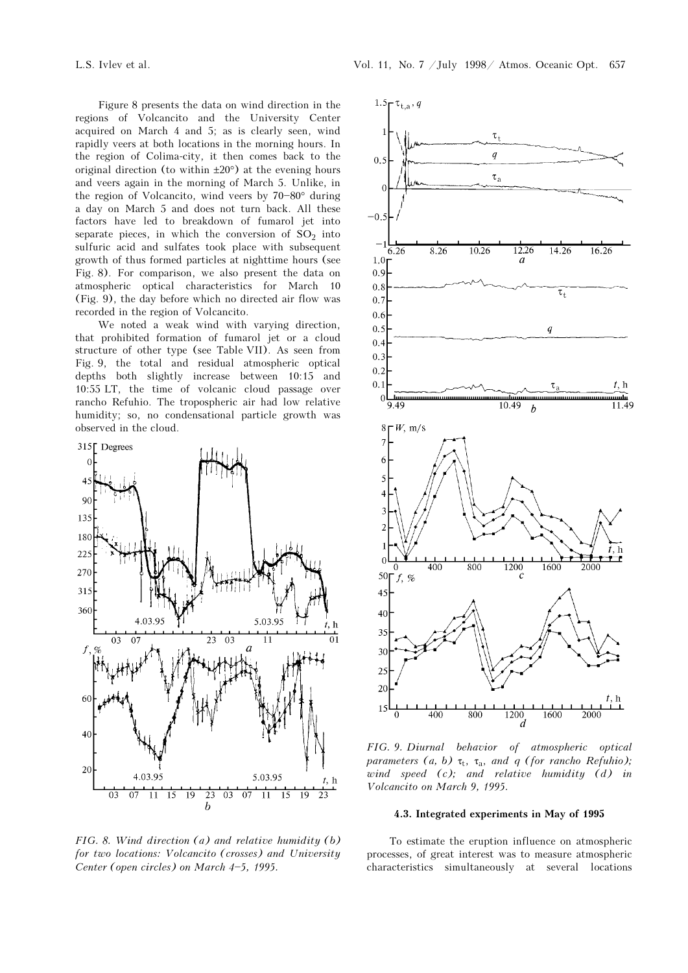Figure 8 presents the data on wind direction in the regions of Volcancito and the University Center acquired on March 4 and 5; as is clearly seen, wind rapidly veers at both locations in the morning hours. In the region of Colima-city, it then comes back to the original direction (to within ±20°) at the evening hours and veers again in the morning of March 5. Unlike, in the region of Volcancito, wind veers by  $70-80°$  during a day on March 5 and does not turn back. All these factors have led to breakdown of fumarol jet into separate pieces, in which the conversion of  $SO_2$  into sulfuric acid and sulfates took place with subsequent growth of thus formed particles at nighttime hours (see Fig. 8). For comparison, we also present the data on atmospheric optical characteristics for March 10 (Fig. 9), the day before which no directed air flow was recorded in the region of Volcancito.

We noted a weak wind with varying direction, that prohibited formation of fumarol jet or a cloud structure of other type (see Table VII). As seen from Fig. 9, the total and residual atmospheric optical depths both slightly increase between 10:15 and 10:55 LT, the time of volcanic cloud passage over rancho Refuhio. The tropospheric air had low relative humidity; so, no condensational particle growth was observed in the cloud.



FIG. 8. Wind direction  $(a)$  and relative humidity  $(b)$ for two locations: Volcancito (crosses) and University Center (open circles) on March  $4-5$ , 1995.



FIG. 9. Diurnal behavior of atmospheric optical parameters (a, b)  $\tau_t$ ,  $\tau_a$ , and q (for rancho Refuhio); wind speed  $(c)$ ; and relative humidity  $(d)$  in Volcancito on March 9, 1995.

# 4.3. Integrated experiments in May of 1995

To estimate the eruption influence on atmospheric processes, of great interest was to measure atmospheric characteristics simultaneously at several locations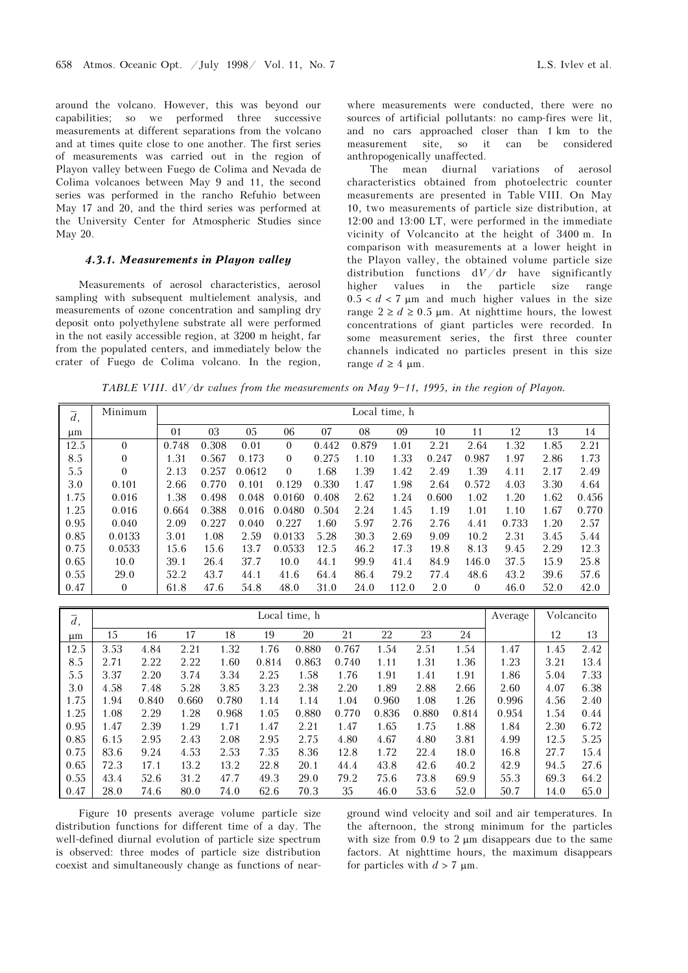around the volcano. However, this was beyond our capabilities; so we performed three successive measurements at different separations from the volcano and at times quite close to one another. The first series of measurements was carried out in the region of Playon valley between Fuego de Colima and Nevada de Colima volcanoes between May 9 and 11, the second series was performed in the rancho Refuhio between May 17 and 20, and the third series was performed at the University Center for Atmospheric Studies since May 20.

## 4.3.1. Measurements in Playon valley

Measurements of aerosol characteristics, aerosol sampling with subsequent multielement analysis, and measurements of ozone concentration and sampling dry deposit onto polyethylene substrate all were performed in the not easily accessible region, at 3200 m height, far from the populated centers, and immediately below the crater of Fuego de Colima volcano. In the region,

where measurements were conducted, there were no sources of artificial pollutants: no camp-fires were lit, and no cars approached closer than 1 km to the measurement site, so it can be considered anthropogenically unaffected.

The mean diurnal variations of aerosol characteristics obtained from photoelectric counter measurements are presented in Table VIII. On May 10, two measurements of particle size distribution, at 12:00 and 13:00 LT, were performed in the immediate vicinity of Volcancito at the height of 3400 m. In comparison with measurements at a lower height in the Playon valley, the obtained volume particle size distribution functions  $dV/dr$  have significantly higher values in the particle size range  $0.5 < d < 7$  µm and much higher values in the size range  $2 \ge d \ge 0.5$  µm. At nighttime hours, the lowest concentrations of giant particles were recorded. In some measurement series, the first three counter channels indicated no particles present in this size range  $d \geq 4$  um.

TABLE VIII.  $dV/dr$  values from the measurements on May 9-11, 1995, in the region of Playon.

| $\overline{d}$ , | Minimum      |       |       |        |              |       |       | Local time, h |       |          |       |      |       |
|------------------|--------------|-------|-------|--------|--------------|-------|-------|---------------|-------|----------|-------|------|-------|
| $\mu$ m          |              | 01    | 03    | 05     | 06           | 07    | 08    | 09            | 10    | 11       | 12    | 13   | 14    |
| 12.5             | $\theta$     | 0.748 | 0.308 | 0.01   | $\mathbf{0}$ | 0.442 | 0.879 | 1.01          | 2.21  | 2.64     | 1.32  | 1.85 | 2.21  |
| 8.5              | $\mathbf{0}$ | 1.31  | 0.567 | 0.173  | $\theta$     | 0.275 | 1.10  | 1.33          | 0.247 | 0.987    | 1.97  | 2.86 | 1.73  |
| 5.5              | $\theta$     | 2.13  | 0.257 | 0.0612 | $\theta$     | 1.68  | 1.39  | 1.42          | 2.49  | 1.39     | 4.11  | 2.17 | 2.49  |
| 3.0              | 0.101        | 2.66  | 0.770 | 0.101  | 0.129        | 0.330 | 1.47  | 1.98          | 2.64  | 0.572    | 4.03  | 3.30 | 4.64  |
| 1.75             | 0.016        | 1.38  | 0.498 | 0.048  | 0.0160       | 0.408 | 2.62  | 1.24          | 0.600 | 1.02     | 1.20  | 1.62 | 0.456 |
| 1.25             | 0.016        | 0.664 | 0.388 | 0.016  | 0.0480       | 0.504 | 2.24  | 1.45          | 1.19  | 1.01     | 1.10  | 1.67 | 0.770 |
| 0.95             | 0.040        | 2.09  | 0.227 | 0.040  | 0.227        | 1.60  | 5.97  | 2.76          | 2.76  | 4.41     | 0.733 | 1.20 | 2.57  |
| 0.85             | 0.0133       | 3.01  | 1.08  | 2.59   | 0.0133       | 5.28  | 30.3  | 2.69          | 9.09  | 10.2     | 2.31  | 3.45 | 5.44  |
| 0.75             | 0.0533       | 15.6  | 15.6  | 13.7   | 0.0533       | 12.5  | 46.2  | 17.3          | 19.8  | 8.13     | 9.45  | 2.29 | 12.3  |
| 0.65             | 10.0         | 39.1  | 26.4  | 37.7   | 10.0         | 44.1  | 99.9  | 41.4          | 84.9  | 146.0    | 37.5  | 15.9 | 25.8  |
| 0.55             | 29.0         | 52.2  | 43.7  | 44.1   | 41.6         | 64.4  | 86.4  | 79.2          | 77.4  | 48.6     | 43.2  | 39.6 | 57.6  |
| 0.47             | $\mathbf{0}$ | 61.8  | 47.6  | 54.8   | 48.0         | 31.0  | 24.0  | 112.0         | 2.0   | $\theta$ | 46.0  | 52.0 | 42.0  |

| $\overline{d}$ , |      |       |       |       |       | Local time, h |       |       |       |       | Average | Volcancito |      |
|------------------|------|-------|-------|-------|-------|---------------|-------|-------|-------|-------|---------|------------|------|
| μm               | 15   | 16    | 17    | 18    | 19    | 20            | 21    | 22    | 23    | 24    |         | 12         | 13   |
| 12.5             | 3.53 | 4.84  | 2.21  | 1.32  | 1.76  | 0.880         | 0.767 | 1.54  | 2.51  | 1.54  | 1.47    | 1.45       | 2.42 |
| 8.5              | 2.71 | 2.22  | 2.22  | 1.60  | 0.814 | 0.863         | 0.740 | 1.11  | 1.31  | 1.36  | 1.23    | 3.21       | 13.4 |
| 5.5              | 3.37 | 2.20  | 3.74  | 3.34  | 2.25  | 1.58          | 1.76  | 1.91  | 1.41  | 1.91  | 1.86    | 5.04       | 7.33 |
| 3.0              | 4.58 | 7.48  | 5.28  | 3.85  | 3.23  | 2.38          | 2.20  | 1.89  | 2.88  | 2.66  | 2.60    | 4.07       | 6.38 |
| 1.75             | 1.94 | 0.840 | 0.660 | 0.780 | 1.14  | 1.14          | 1.04  | 0.960 | 1.08  | 1.26  | 0.996   | 4.56       | 2.40 |
| 1.25             | 1.08 | 2.29  | 1.28  | 0.968 | 1.05  | 0.880         | 0.770 | 0.836 | 0.880 | 0.814 | 0.954   | 1.54       | 0.44 |
| 0.95             | 1.47 | 2.39  | 1.29  | 1.71  | 1.47  | 2.21          | 1.47  | 1.65  | 1.75  | 1.88  | 1.84    | 2.30       | 6.72 |
| 0.85             | 6.15 | 2.95  | 2.43  | 2.08  | 2.95  | 2.75          | 4.80  | 4.67  | 4.80  | 3.81  | 4.99    | 12.5       | 5.25 |
| 0.75             | 83.6 | 9.24  | 4.53  | 2.53  | 7.35  | 8.36          | 12.8  | 1.72  | 22.4  | 18.0  | 16.8    | 27.7       | 15.4 |
| 0.65             | 72.3 | 17.1  | 13.2  | 13.2  | 22.8  | 20.1          | 44.4  | 43.8  | 42.6  | 40.2  | 42.9    | 94.5       | 27.6 |
| 0.55             | 43.4 | 52.6  | 31.2  | 47.7  | 49.3  | 29.0          | 79.2  | 75.6  | 73.8  | 69.9  | 55.3    | 69.3       | 64.2 |
| 0.47             | 28.0 | 74.6  | 80.0  | 74.0  | 62.6  | 70.3          | 35    | 46.0  | 53.6  | 52.0  | 50.7    | 14.0       | 65.0 |

Figure 10 presents average volume particle size distribution functions for different time of a day. The well-defined diurnal evolution of particle size spectrum is observed: three modes of particle size distribution coexist and simultaneously change as functions of nearground wind velocity and soil and air temperatures. In the afternoon, the strong minimum for the particles with size from 0.9 to 2 μm disappears due to the same factors. At nighttime hours, the maximum disappears for particles with  $d > 7 \mu m$ .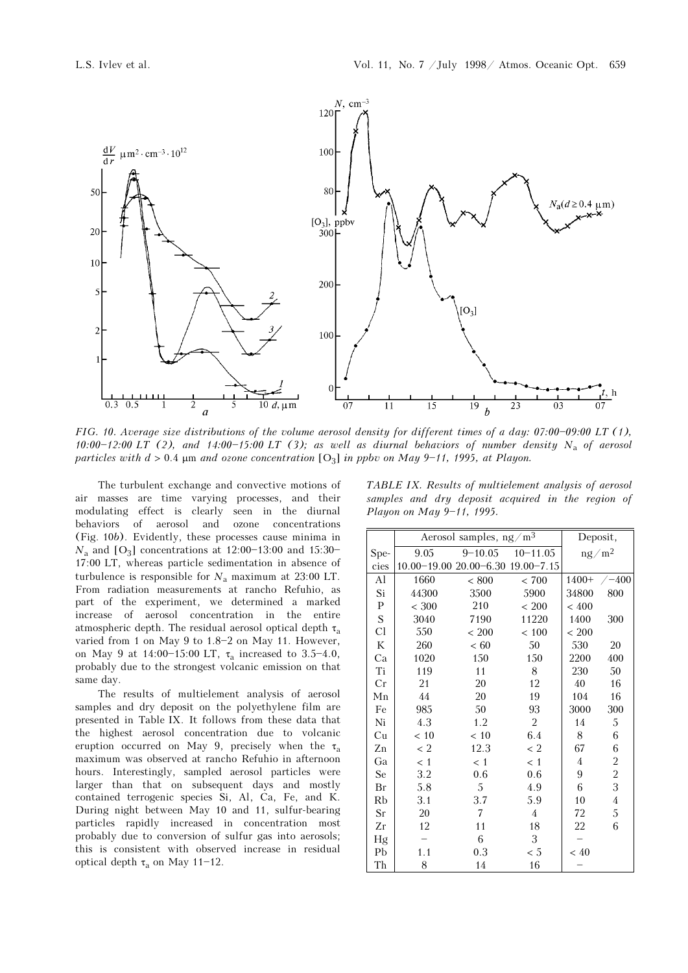

FIG. 10. Average size distributions of the volume aerosol density for different times of a day:  $07:00-09:00$  LT (1), 10:00-12:00 LT (2), and 14:00-15:00 LT (3); as well as diurnal behaviors of number density N<sub>a</sub> of aerosol particles with  $d > 0.4$  µm and ozone concentration [O<sub>3</sub>] in ppbv on May 9-11, 1995, at Playon.

The turbulent exchange and convective motions of air masses are time varying processes, and their modulating effect is clearly seen in the diurnal behaviors of aerosol and ozone concentrations (Fig. 10b). Evidently, these processes cause minima in  $N_a$  and [O<sub>3</sub>] concentrations at 12:00-13:00 and 15:30-17:00 LT, whereas particle sedimentation in absence of turbulence is responsible for  $N_a$  maximum at 23:00 LT. From radiation measurements at rancho Refuhio, as part of the experiment, we determined a marked increase of aerosol concentration in the entire atmospheric depth. The residual aerosol optical depth  $\tau_a$ varied from 1 on May 9 to  $1.8-2$  on May 11. However, on May 9 at  $14:00-15:00$  LT,  $\tau_a$  increased to 3.5-4.0, probably due to the strongest volcanic emission on that same day.

The results of multielement analysis of aerosol samples and dry deposit on the polyethylene film are presented in Table IX. It follows from these data that the highest aerosol concentration due to volcanic eruption occurred on May 9, precisely when the  $\tau_a$ maximum was observed at rancho Refuhio in afternoon hours. Interestingly, sampled aerosol particles were larger than that on subsequent days and mostly contained terrogenic species Si, Al, Ca, Fe, and K. During night between May 10 and 11, sulfur-bearing particles rapidly increased in concentration most probably due to conversion of sulfur gas into aerosols; this is consistent with observed increase in residual optical depth  $\tau_a$  on May 11-12.

TABLE IX. Results of multielement analysis of aerosol samples and dry deposit acquired in the region of Playon on May 9-11, 1995.

|           |           | Aerosol samples, $ng/m3$          |                |                | Deposit,                |
|-----------|-----------|-----------------------------------|----------------|----------------|-------------------------|
| $Spe-$    | 9.05      | $9 - 10.05$                       | $10 - 11.05$   |                | $ng/m^2$                |
| cies      |           | 10.00-19.00 20.00-6.30 19.00-7.15 |                |                |                         |
| Al        | 1660      | ${}< 800$                         | < 700          | $1400+$        | $-400$                  |
| Si        | 44300     | 3500                              | 5900           | 34800          | 800                     |
| ${\bf P}$ | ${}< 300$ | 210                               | ${}< 200$      | ${}< 400$      |                         |
| ${\bf S}$ | 3040      | 7190                              | 11220          | 1400           | 300                     |
| Cl        | 550       | ${}< 200$                         | $<100\,$       | ${}< 200$      |                         |
| $\rm K$   | 260       | $< 60$                            | 50             | 530            | 20                      |
| Ca        | 1020      | 150                               | 150            | 2200           | 400                     |
| Ti        | 119       | 11                                | 8              | 230            | 50                      |
| Cr        | 21        | 20                                | 12             | 40             | 16                      |
| Mn        | 44        | 20                                | 19             | 104            | 16                      |
| Fe        | 985       | 50                                | 93             | 3000           | 300                     |
| Ni        | 4.3       | 1.2                               | 2              | 14             | 5                       |
| Cu        | < 10      | < 10                              | 6.4            | 8              | 6                       |
| Zn        | < 2       | 12.3                              | < 2            | 67             | 6                       |
| Ga        | < 1       | < 1                               | < 1            | $\overline{4}$ | $\overline{\mathbf{c}}$ |
| Se        | 3.2       | 0.6                               | 0.6            | 9              | $\overline{c}$          |
| Br        | 5.8       | 5                                 | 4.9            | 6              | 3                       |
| Rb        | 3.1       | 3.7                               | 5.9            | 10             | $\overline{4}$          |
| Sr        | 20        | 7                                 | $\overline{4}$ | 72             | 5                       |
| Zr        | 12        | 11                                | 18             | 22             | 6                       |
| Hg        |           | 6                                 | 3              |                |                         |
| Pb        | 1.1       | 0.3                               | < 5            | < 40           |                         |
| Th        | 8         | 14                                | 16             |                |                         |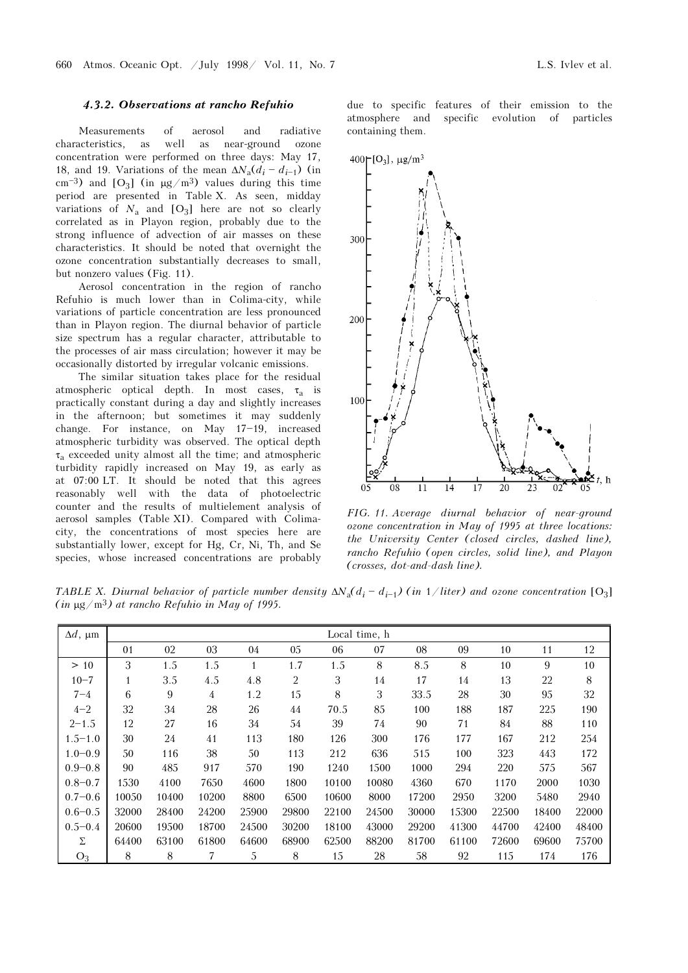#### 4.3.2. Observations at rancho Refuhio

Measurements of aerosol and radiative characteristics, as well as near-ground ozone concentration were performed on three days: May 17, 18, and 19. Variations of the mean  $\Delta N_a(d_i - d_{i-1})$  (in cm<sup>-3</sup>) and [O<sub>3</sub>] (in  $\mu$ g/m<sup>3</sup>) values during this time period are presented in Table X. As seen, midday variations of  $N_a$  and  $[O_3]$  here are not so clearly correlated as in Playon region, probably due to the strong influence of advection of air masses on these characteristics. It should be noted that overnight the ozone concentration substantially decreases to small, but nonzero values (Fig. 11).

Aerosol concentration in the region of rancho Refuhio is much lower than in Colima-city, while variations of particle concentration are less pronounced than in Playon region. The diurnal behavior of particle size spectrum has a regular character, attributable to the processes of air mass circulation; however it may be occasionally distorted by irregular volcanic emissions.

The similar situation takes place for the residual atmospheric optical depth. In most cases,  $\tau_a$  is practically constant during a day and slightly increases in the afternoon; but sometimes it may suddenly change. For instance, on May 17-19, increased atmospheric turbidity was observed. The optical depth  $\tau_a$  exceeded unity almost all the time; and atmospheric turbidity rapidly increased on May 19, as early as at 07:00 LT. It should be noted that this agrees reasonably well with the data of photoelectric counter and the results of multielement analysis of aerosol samples (Table XI). Compared with Colimacity, the concentrations of most species here are substantially lower, except for Hg, Cr, Ni, Th, and Se species, whose increased concentrations are probably due to specific features of their emission to the atmosphere and specific evolution of particles containing them.



FIG. 11. Average diurnal behavior of near-ground ozone concentration in May of 1995 at three locations: the University Center (closed circles, dashed line), rancho Refuhio (open circles, solid line), and Playon (crosses, dot-and-dash line).

TABLE X. Diurnal behavior of particle number density  $\Delta N_a(d_i - d_{i-1})$  (in 1/liter) and ozone concentration [O<sub>3</sub>]  $(in \mu g/m^3)$  at rancho Refuhio in May of 1995.

| $\Delta d$ , µm | Local time, h |       |       |              |       |       |       |       |       |       |       |        |
|-----------------|---------------|-------|-------|--------------|-------|-------|-------|-------|-------|-------|-------|--------|
|                 | 01            | 02    | 03    | 04           | 05    | 06    | 07    | 08    | 09    | 10    | 11    | 12     |
| >10             | 3             | 1.5   | 1.5   | $\mathbf{1}$ | 1.7   | 1.5   | 8     | 8.5   | 8     | 10    | 9     | 10     |
| $10 - 7$        | $\mathbf{1}$  | 3.5   | 4.5   | 4.8          | 2     | 3     | 14    | 17    | 14    | 13    | 22    | $\, 8$ |
| $7 - 4$         | 6             | 9     | 4     | 1.2          | 15    | 8     | 3     | 33.5  | 28    | 30    | 95    | 32     |
| $4 - 2$         | 32            | 34    | 28    | 26           | 44    | 70.5  | 85    | 100   | 188   | 187   | 225   | 190    |
| $2 - 1.5$       | 12            | 27    | 16    | 34           | 54    | 39    | 74    | 90    | 71    | 84    | 88    | 110    |
| $1.5 - 1.0$     | 30            | 24    | 41    | 113          | 180   | 126   | 300   | 176   | 177   | 167   | 212   | 254    |
| $1.0 - 0.9$     | 50            | 116   | 38    | 50           | 113   | 212   | 636   | 515   | 100   | 323   | 443   | 172    |
| $0.9 - 0.8$     | 90            | 485   | 917   | 570          | 190   | 1240  | 1500  | 1000  | 294   | 220   | 575   | 567    |
| $0.8 - 0.7$     | 1530          | 4100  | 7650  | 4600         | 1800  | 10100 | 10080 | 4360  | 670   | 1170  | 2000  | 1030   |
| $0.7 - 0.6$     | 10050         | 10400 | 10200 | 8800         | 6500  | 10600 | 8000  | 17200 | 2950  | 3200  | 5480  | 2940   |
| $0.6 - 0.5$     | 32000         | 28400 | 24200 | 25900        | 29800 | 22100 | 24500 | 30000 | 15300 | 22500 | 18400 | 22000  |
| $0.5 - 0.4$     | 20600         | 19500 | 18700 | 24500        | 30200 | 18100 | 43000 | 29200 | 41300 | 44700 | 42400 | 48400  |
| Σ               | 64400         | 63100 | 61800 | 64600        | 68900 | 62500 | 88200 | 81700 | 61100 | 72600 | 69600 | 75700  |
| $O_3$           | 8             | 8     | 7     | 5            | 8     | 15    | 28    | 58    | 92    | 115   | 174   | 176    |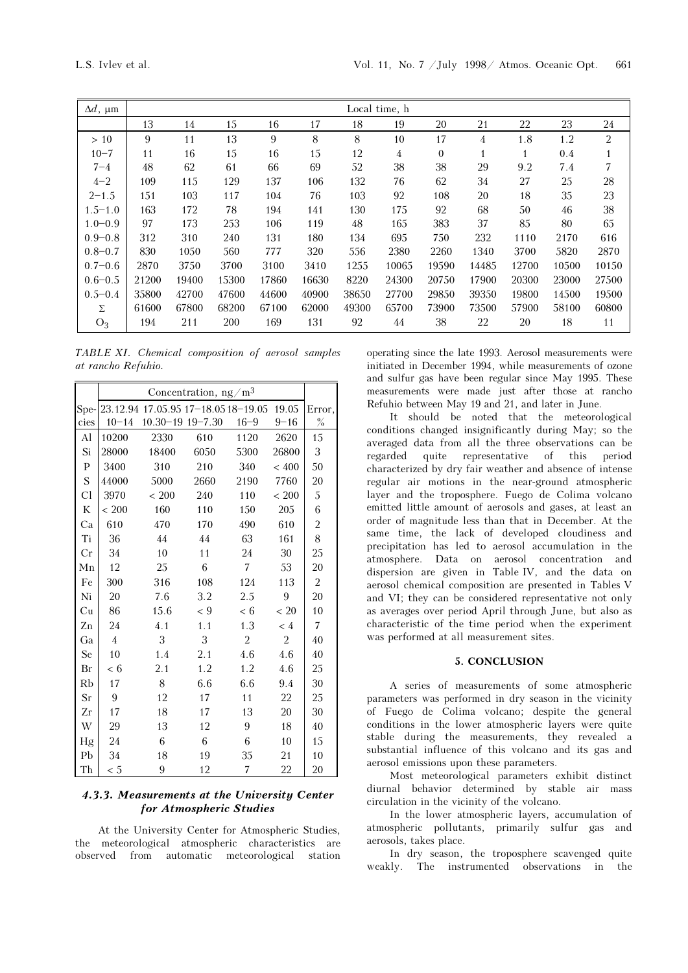| $\Delta d$ , $\mu$ m | Local time, h |       |       |       |       |       |                |              |              |              |       |                |
|----------------------|---------------|-------|-------|-------|-------|-------|----------------|--------------|--------------|--------------|-------|----------------|
|                      | 13            | 14    | 15    | 16    | 17    | 18    | 19             | 20           | 21           | 22           | 23    | 24             |
| >10                  | 9             | 11    | 13    | 9     | 8     | 8     | 10             | 17           | 4            | 1.8          | 1.2   | $\overline{2}$ |
| $10 - 7$             | 11            | 16    | 15    | 16    | 15    | 12    | $\overline{4}$ | $\mathbf{0}$ | $\mathbf{1}$ | $\mathbf{1}$ | 0.4   | $\mathbf{1}$   |
| $7 - 4$              | 48            | 62    | 61    | 66    | 69    | 52    | 38             | 38           | 29           | 9.2          | 7.4   | 7              |
| $4 - 2$              | 109           | 115   | 129   | 137   | 106   | 132   | 76             | 62           | 34           | 27           | 25    | 28             |
| $2 - 1.5$            | 151           | 103   | 117   | 104   | 76    | 103   | 92             | 108          | 20           | 18           | 35    | 23             |
| $1.5 - 1.0$          | 163           | 172   | 78    | 194   | 141   | 130   | 175            | 92           | 68           | 50           | 46    | 38             |
| $1.0 - 0.9$          | 97            | 173   | 253   | 106   | 119   | 48    | 165            | 383          | 37           | 85           | 80    | 65             |
| $0.9 - 0.8$          | 312           | 310   | 240   | 131   | 180   | 134   | 695            | 750          | 232          | 1110         | 2170  | 616            |
| $0.8 - 0.7$          | 830           | 1050  | 560   | 777   | 320   | 556   | 2380           | 2260         | 1340         | 3700         | 5820  | 2870           |
| $0.7 - 0.6$          | 2870          | 3750  | 3700  | 3100  | 3410  | 1255  | 10065          | 19590        | 14485        | 12700        | 10500 | 10150          |
| $0.6 - 0.5$          | 21200         | 19400 | 15300 | 17860 | 16630 | 8220  | 24300          | 20750        | 17900        | 20300        | 23000 | 27500          |
| $0.5 - 0.4$          | 35800         | 42700 | 47600 | 44600 | 40900 | 38650 | 27700          | 29850        | 39350        | 19800        | 14500 | 19500          |
| Σ                    | 61600         | 67800 | 68200 | 67100 | 62000 | 49300 | 65700          | 73900        | 73500        | 57900        | 58100 | 60800          |
| $O_3$                | 194           | 211   | 200   | 169   | 131   | 92    | 44             | 38           | 22           | 20           | 18    | 11             |

TABLE XI. Chemical composition of aerosol samples at rancho Refuhio.

|              | Concentration, $ng/m3$ |                                     |         |                |           |                |  |  |  |
|--------------|------------------------|-------------------------------------|---------|----------------|-----------|----------------|--|--|--|
| Spe-         |                        | 23.12.94 17.05.95 17-18.05 18-19.05 |         |                | 19.05     | Error,         |  |  |  |
| cies         | $10 - 14$              | 10.30-19 19-7.30                    |         | $16 - 9$       | $9 - 16$  | $\%$           |  |  |  |
| Al           | 10200                  | 2330                                | 610     | 1120           | 2620      | 15             |  |  |  |
| Si           | 28000                  | 18400                               | 6050    | 5300           | 26800     | 3              |  |  |  |
| $\mathbf{P}$ | 3400                   | 310                                 | 210     | 340            | < 400     | 50             |  |  |  |
| S            | 44000                  | 5000                                | 2660    | 2190           | 7760      | 20             |  |  |  |
| Cl           | 3970                   | ${}< 200$                           | 240     | 110            | ${}< 200$ | 5              |  |  |  |
| K            | ${}< 200$              | 160                                 | 110     | 150            | 205       | 6              |  |  |  |
| Ca           | 610                    | 470                                 | 170     | 490            | 610       | $\overline{c}$ |  |  |  |
| Ti           | 36                     | 44                                  | 44      | 63             | 161       | 8              |  |  |  |
| Cr           | 34                     | 10                                  | 11      | 24             | 30        | 25             |  |  |  |
| Mn           | 12                     | 25                                  | 6       | $\overline{7}$ | 53        | 20             |  |  |  |
| Fe           | 300                    | 316                                 | 108     | 124            | 113       | 2              |  |  |  |
| Ni           | 20                     | 7.6                                 | 3.2     | 2.5            | 9         | 20             |  |  |  |
| Cu           | 86                     | 15.6                                | $\lt 9$ | < 6            | < 20      | 10             |  |  |  |
| Zn           | 24                     | 4.1                                 | 1.1     | 1.3            | < 4       | 7              |  |  |  |
| Ga           | 4                      | 3                                   | 3       | $\overline{2}$ | 2         | 40             |  |  |  |
| Se           | 10                     | 1.4                                 | 2.1     | 4.6            | 4.6       | 40             |  |  |  |
| Br           | < 6                    | 2.1                                 | 1.2     | 1.2            | 4.6       | 25             |  |  |  |
| Rb           | 17                     | 8                                   | 6.6     | 6.6            | 9.4       | 30             |  |  |  |
| Sr           | 9                      | 12                                  | 17      | 11             | 22        | 25             |  |  |  |
| Zr           | 17                     | 18                                  | 17      | 13             | 20        | 30             |  |  |  |
| W            | 29                     | 13                                  | 12      | 9              | 18        | 40             |  |  |  |
| Hg           | 24                     | 6                                   | 6       | 6              | 10        | 15             |  |  |  |
| Pb           | 34                     | 18                                  | 19      | 35             | 21        | 10             |  |  |  |
| Th           | < 5                    | 9                                   | 12      | 7              | 22        | 20             |  |  |  |

# 4.3.3. Measurements at the University Center for Atmospheric Studies

At the University Center for Atmospheric Studies, the meteorological atmospheric characteristics are observed from automatic meteorological station operating since the late 1993. Aerosol measurements were initiated in December 1994, while measurements of ozone and sulfur gas have been regular since May 1995. These measurements were made just after those at rancho Refuhio between May 19 and 21, and later in June.

It should be noted that the meteorological conditions changed insignificantly during May; so the averaged data from all the three observations can be regarded quite representative of this period characterized by dry fair weather and absence of intense regular air motions in the near-ground atmospheric layer and the troposphere. Fuego de Colima volcano emitted little amount of aerosols and gases, at least an order of magnitude less than that in December. At the same time, the lack of developed cloudiness and precipitation has led to aerosol accumulation in the atmosphere. Data on aerosol concentration and dispersion are given in Table IV, and the data on aerosol chemical composition are presented in Tables V and VI; they can be considered representative not only as averages over period April through June, but also as characteristic of the time period when the experiment was performed at all measurement sites.

#### 5. CONCLUSION

A series of measurements of some atmospheric parameters was performed in dry season in the vicinity of Fuego de Colima volcano; despite the general conditions in the lower atmospheric layers were quite stable during the measurements, they revealed a substantial influence of this volcano and its gas and aerosol emissions upon these parameters.

Most meteorological parameters exhibit distinct diurnal behavior determined by stable air mass circulation in the vicinity of the volcano.

In the lower atmospheric layers, accumulation of atmospheric pollutants, primarily sulfur gas and aerosols, takes place.

In dry season, the troposphere scavenged quite weakly. The instrumented observations in the